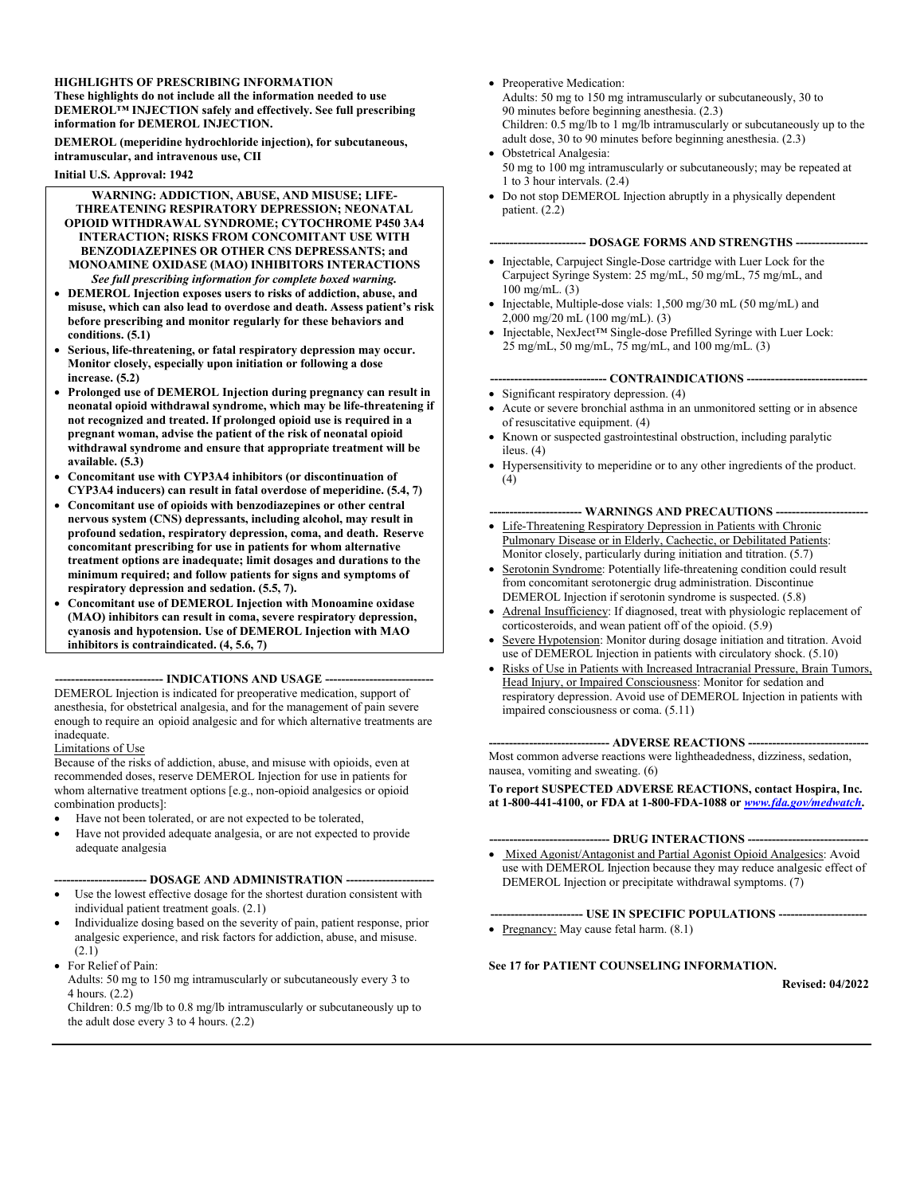#### **HIGHLIGHTS OF PRESCRIBING INFORMATION**

**These highlights do not include all the information needed to use DEMEROL™ INJECTION safely and effectively. See full prescribing information for DEMEROL INJECTION.**

**DEMEROL (meperidine hydrochloride injection), for subcutaneous, intramuscular, and intravenous use, CII**

**Initial U.S. Approval: 1942**

**WARNING: ADDICTION, ABUSE, AND MISUSE; LIFE-THREATENING RESPIRATORY DEPRESSION; NEONATAL OPIOID WITHDRAWAL SYNDROME; CYTOCHROME P450 3A4 INTERACTION; RISKS FROM CONCOMITANT USE WITH BENZODIAZEPINES OR OTHER CNS DEPRESSANTS; and MONOAMINE OXIDASE (MAO) INHIBITORS INTERACTIONS** *See full prescribing information for complete boxed warning.*

- **DEMEROL Injection exposes users to risks of addiction, abuse, and misuse, which can also lead to overdose and death. Assess patient's risk before prescribing and monitor regularly for these behaviors and conditions. (5.1)**
- **Serious, life-threatening, or fatal respiratory depression may occur. Monitor closely, especially upon initiation or following a dose increase. (5.2)**
- **Prolonged use of DEMEROL Injection during pregnancy can result in neonatal opioid withdrawal syndrome, which may be life-threatening if not recognized and treated. If prolonged opioid use is required in a pregnant woman, advise the patient of the risk of neonatal opioid withdrawal syndrome and ensure that appropriate treatment will be available. (5.3)**
- **Concomitant use with CYP3A4 inhibitors (or discontinuation of CYP3A4 inducers) can result in fatal overdose of meperidine. (5.4, 7)**
- **Concomitant use of opioids with benzodiazepines or other central nervous system (CNS) depressants, including alcohol, may result in profound sedation, respiratory depression, coma, and death. Reserve concomitant prescribing for use in patients for whom alternative treatment options are inadequate; limit dosages and durations to the minimum required; and follow patients for signs and symptoms of respiratory depression and sedation. (5.5, 7).**
- **Concomitant use of DEMEROL Injection with Monoamine oxidase (MAO) inhibitors can result in coma, severe respiratory depression, cyanosis and hypotension. Use of DEMEROL Injection with MAO inhibitors is contraindicated. (4, 5.6, 7)**

#### --- **INDICATIONS AND USAGE ----**

DEMEROL Injection is indicated for preoperative medication, support of anesthesia, for obstetrical analgesia, and for the management of pain severe enough to require an opioid analgesic and for which alternative treatments are inadequate.

#### Limitations of Use

Because of the risks of addiction, abuse, and misuse with opioids, even at recommended doses, reserve DEMEROL Injection for use in patients for whom alternative treatment options [e.g., non-opioid analgesics or opioid combination products]:

- Have not been tolerated, or are not expected to be tolerated,
- Have not provided adequate analgesia, or are not expected to provide adequate analgesia

#### **----------------------- DOSAGE AND ADMINISTRATION ----------------------**

- Use the lowest effective dosage for the shortest duration consistent with individual patient treatment goals. (2.1)
- Individualize dosing based on the severity of pain, patient response, prior analgesic experience, and risk factors for addiction, abuse, and misuse. (2.1)
- For Relief of Pain:

Adults: 50 mg to 150 mg intramuscularly or subcutaneously every 3 to 4 hours. (2.2)

Children: 0.5 mg/lb to 0.8 mg/lb intramuscularly or subcutaneously up to the adult dose every 3 to 4 hours. (2.2)

- Preoperative Medication: Adults: 50 mg to 150 mg intramuscularly or subcutaneously, 30 to 90 minutes before beginning anesthesia. (2.3) Children: 0.5 mg/lb to 1 mg/lb intramuscularly or subcutaneously up to the adult dose, 30 to 90 minutes before beginning anesthesia. (2.3)
- Obstetrical Analgesia: 50 mg to 100 mg intramuscularly or subcutaneously; may be repeated at 1 to 3 hour intervals. (2.4)
- Do not stop DEMEROL Injection abruptly in a physically dependent patient. (2.2)

#### **------------------------ DOSAGE FORMS AND STRENGTHS ------------------**

- Injectable, Carpuject Single-Dose cartridge with Luer Lock for the Carpuject Syringe System: 25 mg/mL, 50 mg/mL, 75 mg/mL, and 100 mg/mL. (3)
- Injectable, Multiple-dose vials: 1,500 mg/30 mL (50 mg/mL) and 2,000 mg/20 mL (100 mg/mL). (3)
- Injectable, NexJect™ Single-dose Prefilled Syringe with Luer Lock: 25 mg/mL, 50 mg/mL, 75 mg/mL, and 100 mg/mL. (3)

#### **----------------------------- CONTRAINDICATIONS ------------------------------**

- Significant respiratory depression. (4)
- Acute or severe bronchial asthma in an unmonitored setting or in absence of resuscitative equipment. (4)
- Known or suspected gastrointestinal obstruction, including paralytic ileus. (4)
- Hypersensitivity to meperidine or to any other ingredients of the product. (4)

#### --- WARNINGS AND PRECAUTIONS ---

- Life-Threatening Respiratory Depression in Patients with Chronic Pulmonary Disease or in Elderly, Cachectic, or Debilitated Patients: Monitor closely, particularly during initiation and titration. (5.7)
- Serotonin Syndrome: Potentially life-threatening condition could result from concomitant serotonergic drug administration. Discontinue DEMEROL Injection if serotonin syndrome is suspected. (5.8)
- Adrenal Insufficiency: If diagnosed, treat with physiologic replacement of corticosteroids, and wean patient off of the opioid. (5.9)
- Severe Hypotension: Monitor during dosage initiation and titration. Avoid use of DEMEROL Injection in patients with circulatory shock. (5.10)
- Risks of Use in Patients with Increased Intracranial Pressure, Brain Tumors, Head Injury, or Impaired Consciousness: Monitor for sedation and respiratory depression. Avoid use of DEMEROL Injection in patients with impaired consciousness or coma. (5.11)

#### **------------------------------ ADVERSE REACTIONS ------------------------------**

Most common adverse reactions were lightheadedness, dizziness, sedation, nausea, vomiting and sweating. (6)

**To report SUSPECTED ADVERSE REACTION[S, contact Hospira,](http://www.fda.gov/medwatch) Inc. at 1-800-441-4100, or FDA at 1-800-FDA-1088 or** *www.fda.gov/medwatch***.**

#### **------------------------------ DRUG INTERACTIONS ------------------------------**

- Mixed Agonist/Antagonist and Partial Agonist Opioid Analgesics: Avoid use with DEMEROL Injection because they may reduce analgesic effect of DEMEROL Injection or precipitate withdrawal symptoms. (7)
- **----------------------- USE IN SPECIFIC POPULATIONS ----------------------** • Pregnancy: May cause fetal harm.  $(8.1)$

#### **See 17 for PATIENT COUNSELING INFORMATION.**

**Revised: 04/2022**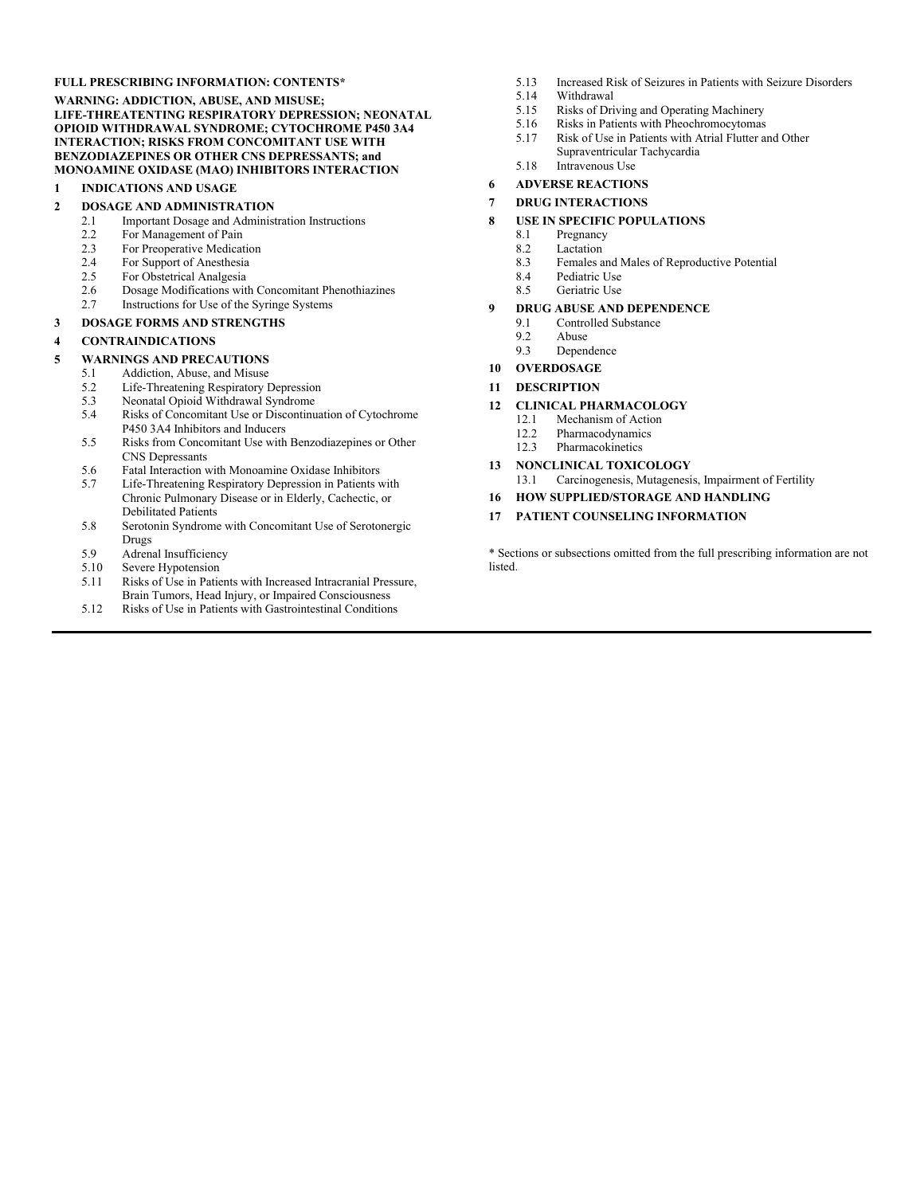#### **FULL PRESCRIBING INFORMATION: CONTENTS\***

**WARNING: ADDICTION, ABUSE, AND MISUSE; LIFE-THREATENTING RESPIRATORY DEPRESSION; NEONATAL OPIOID WITHDRAWAL SYNDROME; CYTOCHROME P450 3A4 INTERACTION; RISKS FROM CONCOMITANT USE WITH BENZODIAZEPINES OR OTHER CNS DEPRESSANTS; and MONOAMINE OXIDASE (MAO) INHIBITORS INTERACTION**

#### **1 INDICATIONS AND USAGE**

#### **2 DOSAGE AND ADMINISTRATION**

- 2.1 Important Dosage and Administration Instructions
- 2.2 For Management of Pain<br>2.3 For Preoperative Medical
- For Preoperative Medication
- 2.4 For Support of Anesthesia
- 2.5 For Obstetrical Analgesia
- 2.6 Dosage Modifications with Concomitant Phenothiazines<br>2.7 Instructions for Use of the Syringe Systems
- Instructions for Use of the Syringe Systems
- **3 DOSAGE FORMS AND STRENGTHS**

#### **4 CONTRAINDICATIONS**

#### **5 WARNINGS AND PRECAUTIONS**

- 5.1 Addiction, Abuse, and Misuse
- 5.2 Life-Threatening Respiratory Depression
- 5.3 Neonatal Opioid Withdrawal Syndrome<br>5.4 Risks of Concomitant Use or Discontinu
- Risks of Concomitant Use or Discontinuation of Cytochrome P450 3A4 Inhibitors and Inducers
- 5.5 Risks from Concomitant Use with Benzodiazepines or Other CNS Depressants
- 5.6 Fatal Interaction with Monoamine Oxidase Inhibitors
- 5.7 Life-Threatening Respiratory Depression in Patients with Chronic Pulmonary Disease or in Elderly, Cachectic, or Debilitated Patients
- 5.8 Serotonin Syndrome with Concomitant Use of Serotonergic Drugs
- 5.9 Adrenal Insufficiency<br>5.10 Severe Hypotension
- 5.10 Severe Hypotension<br>5.11 Risks of Use in Patie
- Risks of Use in Patients with Increased Intracranial Pressure, Brain Tumors, Head Injury, or Impaired Consciousness
- 5.12 Risks of Use in Patients with Gastrointestinal Conditions
- 5.13 Increased Risk of Seizures in Patients with Seizure Disorders
- 5.14 Withdrawal
- 5.15 Risks of Driving and Operating Machinery<br>5.16 Risks in Patients with Pheochromocytomas
- 5.16 Risks in Patients with Pheochromocytomas<br>5.17 Risk of Use in Patients with Atrial Flutter at
- Risk of Use in Patients with Atrial Flutter and Other
- Supraventricular Tachycardia
- 5.18 Intravenous Use

#### **6 ADVERSE REACTIONS**

**7 DRUG INTERACTIONS**

#### **8 USE IN SPECIFIC POPULATIONS**

- 8.1 Pregnancy<br>8.2 Lactation
	- I actation
	- 8.3 Females and Males of Reproductive Potential
	- 8.4 Pediatric Use
	- 8.5 Geriatric Use

#### **9 DRUG ABUSE AND DEPENDENCE**

- 9.1 Controlled Substance
- 9.2 Abuse<br>9.3 Depen
- Dependence
- **10 OVERDOSAGE**

#### **11 DESCRIPTION**

# **12 CLINICAL PHARMACOLOGY**

- Mechanism of Action
- 12.2 Pharmacodynamics
- 12.3 Pharmacokinetics
- **13 NONCLINICAL TOXICOLOGY**
	- Carcinogenesis, Mutagenesis, Impairment of Fertility

#### **16 HOW SUPPLIED/STORAGE AND HANDLING**

#### **17 PATIENT COUNSELING INFORMATION**

\* Sections or subsections omitted from the full prescribing information are not listed.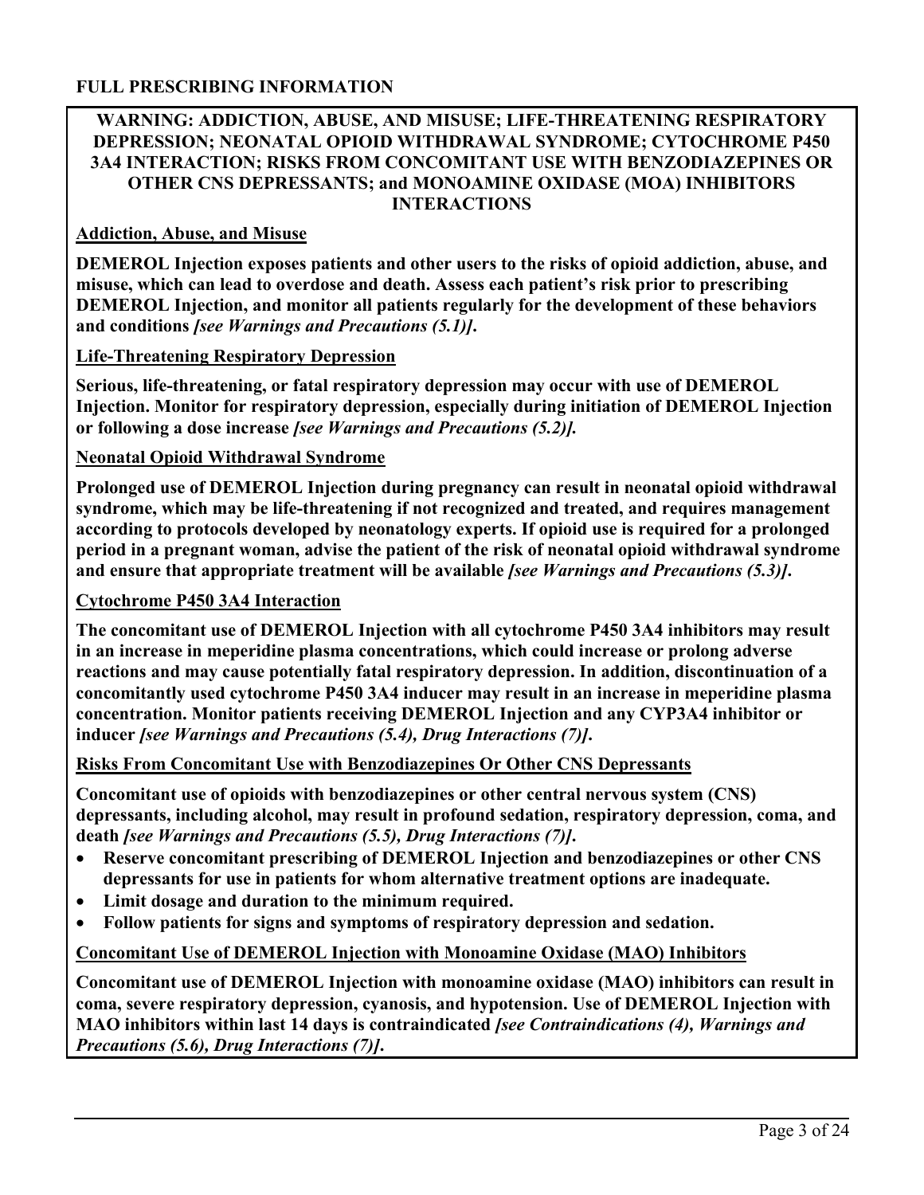#### **FULL PRESCRIBING INFORMATION**

#### **WARNING: ADDICTION, ABUSE, AND MISUSE; LIFE-THREATENING RESPIRATORY DEPRESSION; NEONATAL OPIOID WITHDRAWAL SYNDROME; CYTOCHROME P450 3A4 INTERACTION; RISKS FROM CONCOMITANT USE WITH BENZODIAZEPINES OR OTHER CNS DEPRESSANTS; and MONOAMINE OXIDASE (MOA) INHIBITORS INTERACTIONS**

### **Addiction, Abuse, and Misuse**

**DEMEROL Injection exposes patients and other users to the risks of opioid addiction, abuse, and misuse, which can lead to overdose and death. Assess each patient's risk prior to prescribing DEMEROL Injection, and monitor all patients regularly for the development of these behaviors and conditions** *[see Warnings and Precautions (5.1)]***.**

#### **Life-Threatening Respiratory Depression**

**Serious, life-threatening, or fatal respiratory depression may occur with use of DEMEROL Injection. Monitor for respiratory depression, especially during initiation of DEMEROL Injection or following a dose increase** *[see Warnings and Precautions (5.2)].*

#### **Neonatal Opioid Withdrawal Syndrome**

**Prolonged use of DEMEROL Injection during pregnancy can result in neonatal opioid withdrawal syndrome, which may be life-threatening if not recognized and treated, and requires management according to protocols developed by neonatology experts. If opioid use is required for a prolonged period in a pregnant woman, advise the patient of the risk of neonatal opioid withdrawal syndrome and ensure that appropriate treatment will be available** *[see Warnings and Precautions (5.3)]***.**

#### **Cytochrome P450 3A4 Interaction**

**The concomitant use of DEMEROL Injection with all cytochrome P450 3A4 inhibitors may result in an increase in meperidine plasma concentrations, which could increase or prolong adverse reactions and may cause potentially fatal respiratory depression. In addition, discontinuation of a concomitantly used cytochrome P450 3A4 inducer may result in an increase in meperidine plasma concentration. Monitor patients receiving DEMEROL Injection and any CYP3A4 inhibitor or inducer** *[see Warnings and Precautions (5.4), Drug Interactions (7)]***.**

#### **Risks From Concomitant Use with Benzodiazepines Or Other CNS Depressants**

**Concomitant use of opioids with benzodiazepines or other central nervous system (CNS) depressants, including alcohol, may result in profound sedation, respiratory depression, coma, and death** *[see Warnings and Precautions (5.5), Drug Interactions (7)]***.**

- **Reserve concomitant prescribing of DEMEROL Injection and benzodiazepines or other CNS depressants for use in patients for whom alternative treatment options are inadequate.**
- **Limit dosage and duration to the minimum required.**
- **Follow patients for signs and symptoms of respiratory depression and sedation.**

#### **Concomitant Use of DEMEROL Injection with Monoamine Oxidase (MAO) Inhibitors**

**Concomitant use of DEMEROL Injection with monoamine oxidase (MAO) inhibitors can result in coma, severe respiratory depression, cyanosis, and hypotension. Use of DEMEROL Injection with MAO inhibitors within last 14 days is contraindicated** *[see Contraindications (4), Warnings and Precautions (5.6), Drug Interactions (7)]***.**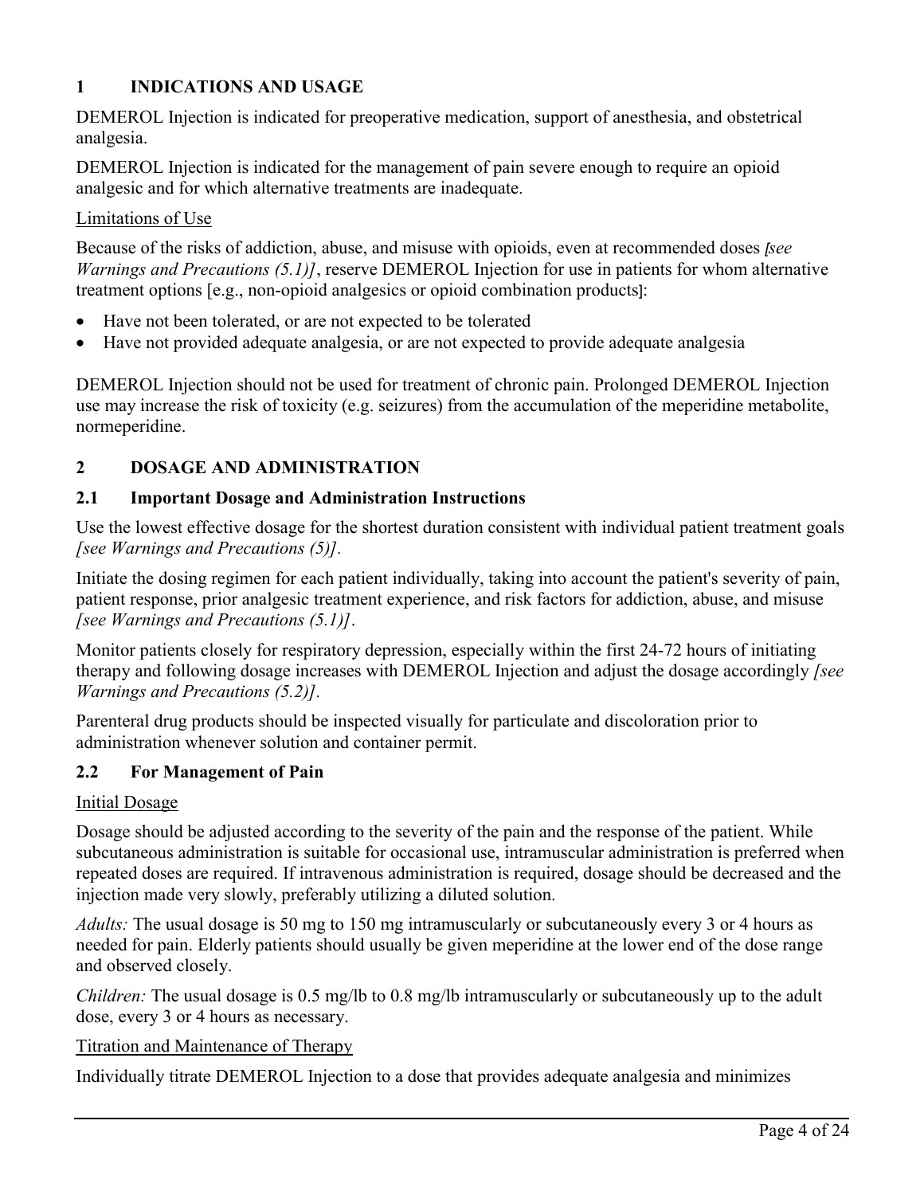# **1 INDICATIONS AND USAGE**

DEMEROL Injection is indicated for preoperative medication, support of anesthesia, and obstetrical analgesia.

DEMEROL Injection is indicated for the management of pain severe enough to require an opioid analgesic and for which alternative treatments are inadequate.

#### Limitations of Use

Because of the risks of addiction, abuse, and misuse with opioids, even at recommended doses *[see Warnings and Precautions (5.1)]*, reserve DEMEROL Injection for use in patients for whom alternative treatment options [e.g., non-opioid analgesics or opioid combination products]:

- Have not been tolerated, or are not expected to be tolerated
- Have not provided adequate analgesia, or are not expected to provide adequate analgesia

DEMEROL Injection should not be used for treatment of chronic pain. Prolonged DEMEROL Injection use may increase the risk of toxicity (e.g. seizures) from the accumulation of the meperidine metabolite, normeperidine.

# **2 DOSAGE AND ADMINISTRATION**

### **2.1 Important Dosage and Administration Instructions**

Use the lowest effective dosage for the shortest duration consistent with individual patient treatment goals *[see Warnings and Precautions (5)].*

Initiate the dosing regimen for each patient individually, taking into account the patient's severity of pain, patient response, prior analgesic treatment experience, and risk factors for addiction, abuse, and misuse *[see Warnings and Precautions (5.1)]*.

Monitor patients closely for respiratory depression, especially within the first 24-72 hours of initiating therapy and following dosage increases with DEMEROL Injection and adjust the dosage accordingly *[see Warnings and Precautions (5.2)].*

Parenteral drug products should be inspected visually for particulate and discoloration prior to administration whenever solution and container permit.

### **2.2 For Management of Pain**

### Initial Dosage

Dosage should be adjusted according to the severity of the pain and the response of the patient. While subcutaneous administration is suitable for occasional use, intramuscular administration is preferred when repeated doses are required. If intravenous administration is required, dosage should be decreased and the injection made very slowly, preferably utilizing a diluted solution.

*Adults:* The usual dosage is 50 mg to 150 mg intramuscularly or subcutaneously every 3 or 4 hours as needed for pain. Elderly patients should usually be given meperidine at the lower end of the dose range and observed closely.

*Children:* The usual dosage is 0.5 mg/lb to 0.8 mg/lb intramuscularly or subcutaneously up to the adult dose, every 3 or 4 hours as necessary.

Titration and Maintenance of Therapy

Individually titrate DEMEROL Injection to a dose that provides adequate analgesia and minimizes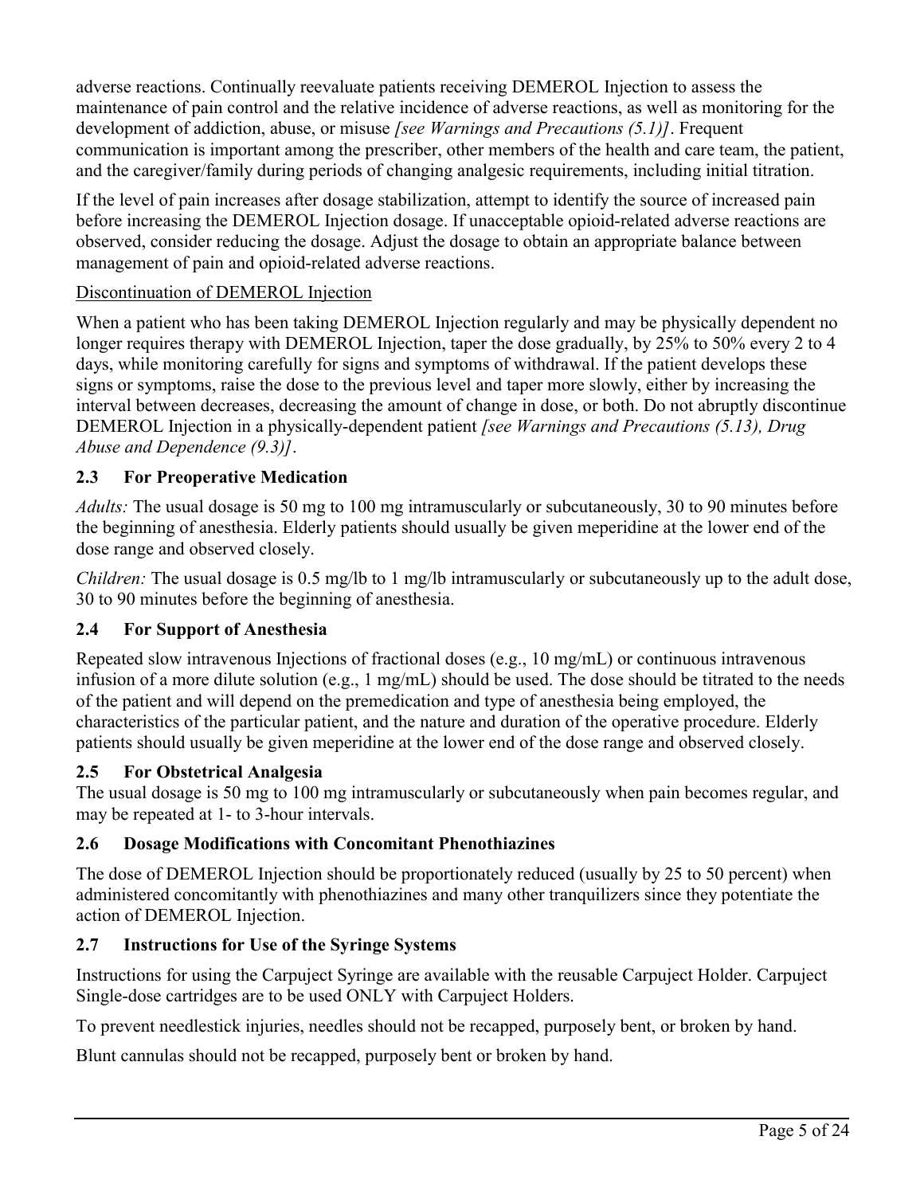adverse reactions. Continually reevaluate patients receiving DEMEROL Injection to assess the maintenance of pain control and the relative incidence of adverse reactions, as well as monitoring for the development of addiction, abuse, or misuse *[see Warnings and Precautions (5.1)]*. Frequent communication is important among the prescriber, other members of the health and care team, the patient, and the caregiver/family during periods of changing analgesic requirements, including initial titration.

If the level of pain increases after dosage stabilization, attempt to identify the source of increased pain before increasing the DEMEROL Injection dosage. If unacceptable opioid-related adverse reactions are observed, consider reducing the dosage. Adjust the dosage to obtain an appropriate balance between management of pain and opioid-related adverse reactions.

# Discontinuation of DEMEROL Injection

When a patient who has been taking DEMEROL Injection regularly and may be physically dependent no longer requires therapy with DEMEROL Injection, taper the dose gradually, by 25% to 50% every 2 to 4 days, while monitoring carefully for signs and symptoms of withdrawal. If the patient develops these signs or symptoms, raise the dose to the previous level and taper more slowly, either by increasing the interval between decreases, decreasing the amount of change in dose, or both. Do not abruptly discontinue DEMEROL Injection in a physically-dependent patient *[see Warnings and Precautions (5.13), Drug Abuse and Dependence (9.3)]*.

# **2.3 For Preoperative Medication**

*Adults:* The usual dosage is 50 mg to 100 mg intramuscularly or subcutaneously, 30 to 90 minutes before the beginning of anesthesia. Elderly patients should usually be given meperidine at the lower end of the dose range and observed closely.

*Children:* The usual dosage is 0.5 mg/lb to 1 mg/lb intramuscularly or subcutaneously up to the adult dose, 30 to 90 minutes before the beginning of anesthesia.

# **2.4 For Support of Anesthesia**

Repeated slow intravenous Injections of fractional doses (e.g., 10 mg/mL) or continuous intravenous infusion of a more dilute solution (e.g., 1 mg/mL) should be used. The dose should be titrated to the needs of the patient and will depend on the premedication and type of anesthesia being employed, the characteristics of the particular patient, and the nature and duration of the operative procedure. Elderly patients should usually be given meperidine at the lower end of the dose range and observed closely.

# **2.5 For Obstetrical Analgesia**

The usual dosage is 50 mg to 100 mg intramuscularly or subcutaneously when pain becomes regular, and may be repeated at 1- to 3-hour intervals.

### **2.6 Dosage Modifications with Concomitant Phenothiazines**

The dose of DEMEROL Injection should be proportionately reduced (usually by 25 to 50 percent) when administered concomitantly with phenothiazines and many other tranquilizers since they potentiate the action of DEMEROL Injection.

# **2.7 Instructions for Use of the Syringe Systems**

Instructions for using the Carpuject Syringe are available with the reusable Carpuject Holder. Carpuject Single-dose cartridges are to be used ONLY with Carpuject Holders.

To prevent needlestick injuries, needles should not be recapped, purposely bent, or broken by hand.

Blunt cannulas should not be recapped, purposely bent or broken by hand.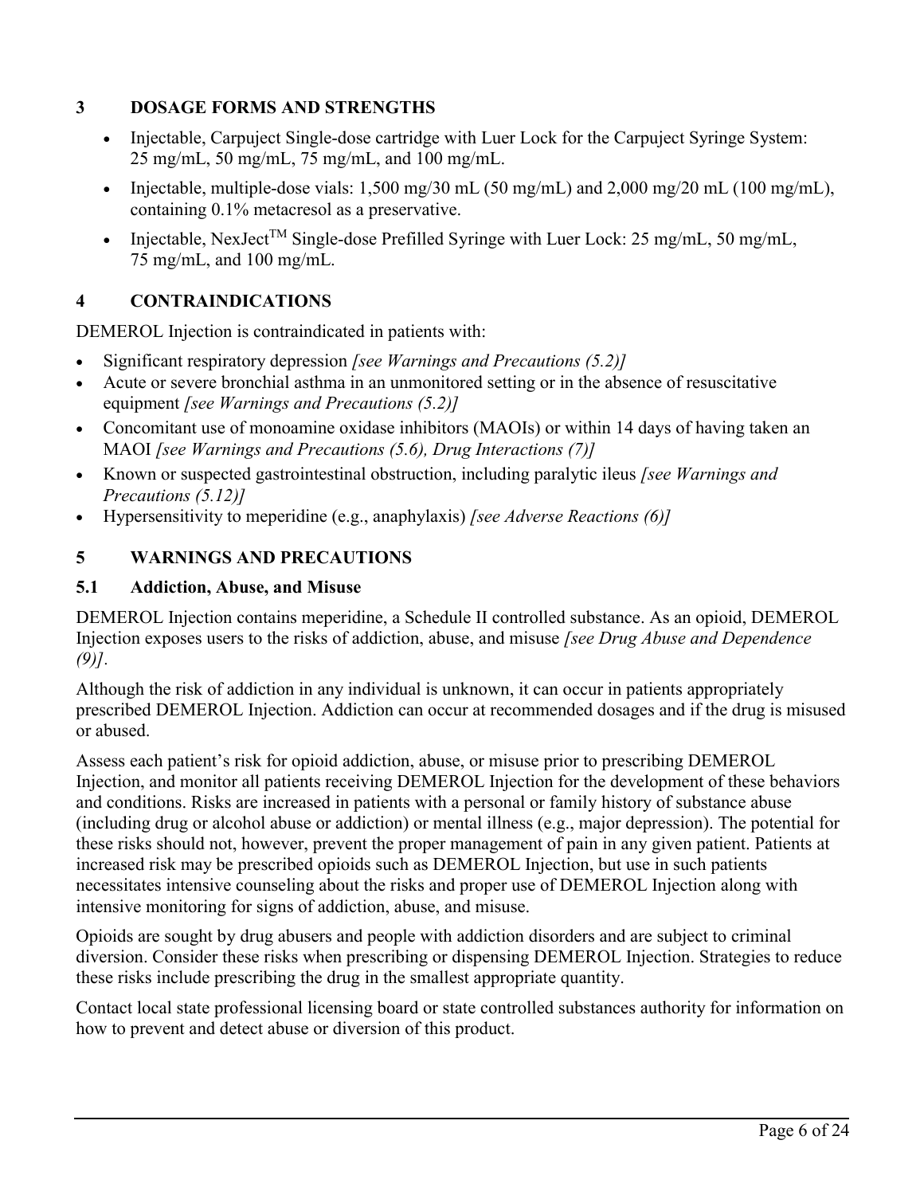# **3 DOSAGE FORMS AND STRENGTHS**

- Injectable, Carpuject Single-dose cartridge with Luer Lock for the Carpuject Syringe System: 25 mg/mL, 50 mg/mL, 75 mg/mL, and 100 mg/mL.
- Injectable, multiple-dose vials:  $1,500 \text{ mg}/30 \text{ mL}$  (50 mg/mL) and  $2,000 \text{ mg}/20 \text{ mL}$  (100 mg/mL), containing 0.1% metacresol as a preservative.
- Injectable, NexJect<sup>TM</sup> Single-dose Prefilled Syringe with Luer Lock: 25 mg/mL, 50 mg/mL, 75 mg/mL, and 100 mg/mL.

# **4 CONTRAINDICATIONS**

DEMEROL Injection is contraindicated in patients with:

- Significant respiratory depression *[see Warnings and Precautions (5.2)]*
- Acute or severe bronchial asthma in an unmonitored setting or in the absence of resuscitative equipment *[see Warnings and Precautions (5.2)]*
- Concomitant use of monoamine oxidase inhibitors (MAOIs) or within 14 days of having taken an MAOI *[see Warnings and Precautions (5.6), Drug Interactions (7)]*
- Known or suspected gastrointestinal obstruction, including paralytic ileus *[see Warnings and Precautions (5.12)]*
- Hypersensitivity to meperidine (e.g., anaphylaxis) *[see Adverse Reactions (6)]*

# **5 WARNINGS AND PRECAUTIONS**

# **5.1 Addiction, Abuse, and Misuse**

DEMEROL Injection contains meperidine, a Schedule II controlled substance. As an opioid, DEMEROL Injection exposes users to the risks of addiction, abuse, and misuse *[see Drug Abuse and Dependence (9)].*

Although the risk of addiction in any individual is unknown, it can occur in patients appropriately prescribed DEMEROL Injection. Addiction can occur at recommended dosages and if the drug is misused or abused.

Assess each patient's risk for opioid addiction, abuse, or misuse prior to prescribing DEMEROL Injection, and monitor all patients receiving DEMEROL Injection for the development of these behaviors and conditions. Risks are increased in patients with a personal or family history of substance abuse (including drug or alcohol abuse or addiction) or mental illness (e.g., major depression). The potential for these risks should not, however, prevent the proper management of pain in any given patient. Patients at increased risk may be prescribed opioids such as DEMEROL Injection, but use in such patients necessitates intensive counseling about the risks and proper use of DEMEROL Injection along with intensive monitoring for signs of addiction, abuse, and misuse.

Opioids are sought by drug abusers and people with addiction disorders and are subject to criminal diversion. Consider these risks when prescribing or dispensing DEMEROL Injection. Strategies to reduce these risks include prescribing the drug in the smallest appropriate quantity.

Contact local state professional licensing board or state controlled substances authority for information on how to prevent and detect abuse or diversion of this product.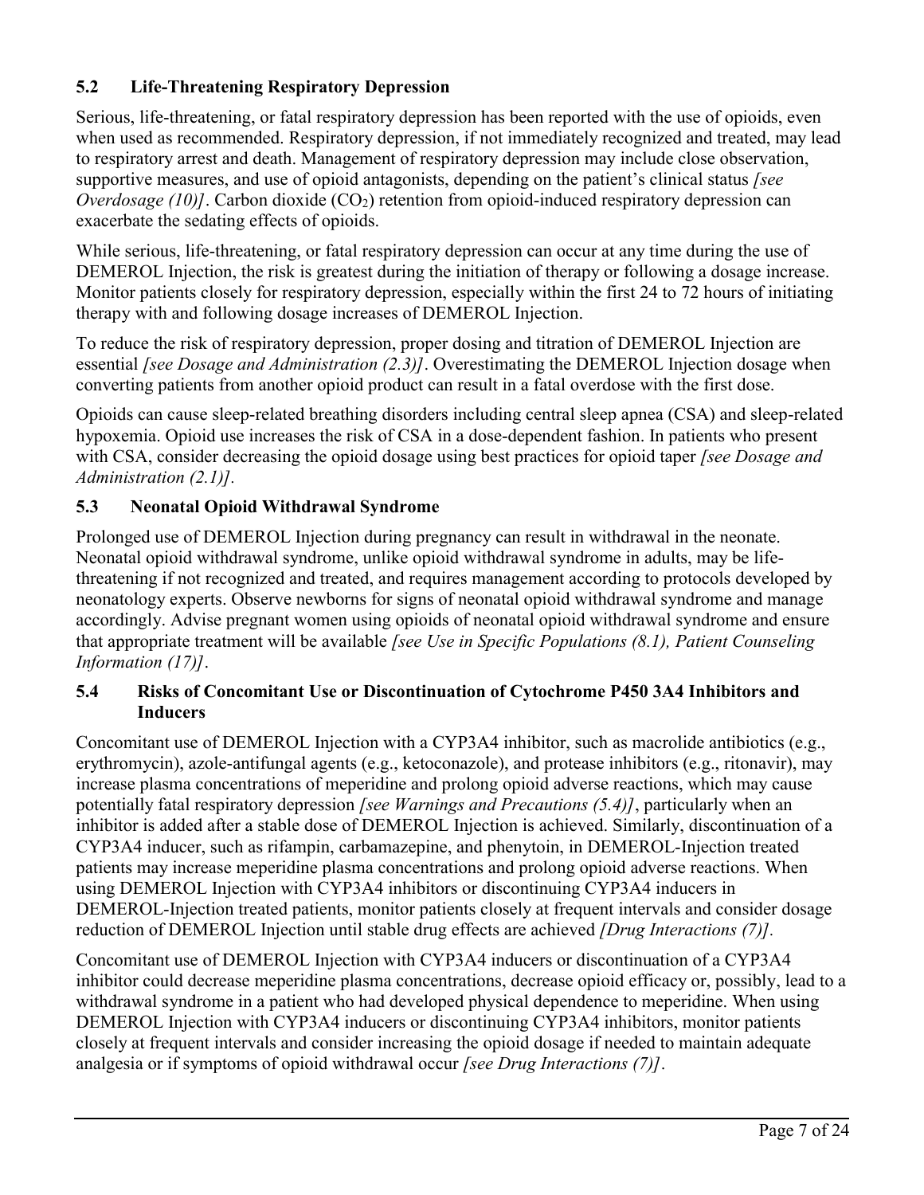# **5.2 Life-Threatening Respiratory Depression**

Serious, life-threatening, or fatal respiratory depression has been reported with the use of opioids, even when used as recommended. Respiratory depression, if not immediately recognized and treated, may lead to respiratory arrest and death. Management of respiratory depression may include close observation, supportive measures, and use of opioid antagonists, depending on the patient's clinical status *[see Overdosage (10)]*. Carbon dioxide  $(CO_2)$  retention from opioid-induced respiratory depression can exacerbate the sedating effects of opioids.

While serious, life-threatening, or fatal respiratory depression can occur at any time during the use of DEMEROL Injection, the risk is greatest during the initiation of therapy or following a dosage increase. Monitor patients closely for respiratory depression, especially within the first 24 to 72 hours of initiating therapy with and following dosage increases of DEMEROL Injection.

To reduce the risk of respiratory depression, proper dosing and titration of DEMEROL Injection are essential *[see Dosage and Administration (2.3)]*. Overestimating the DEMEROL Injection dosage when converting patients from another opioid product can result in a fatal overdose with the first dose.

Opioids can cause sleep-related breathing disorders including central sleep apnea (CSA) and sleep-related hypoxemia. Opioid use increases the risk of CSA in a dose-dependent fashion. In patients who present with CSA, consider decreasing the opioid dosage using best practices for opioid taper *[see Dosage and Administration (2.1)].*

# **5.3 Neonatal Opioid Withdrawal Syndrome**

Prolonged use of DEMEROL Injection during pregnancy can result in withdrawal in the neonate. Neonatal opioid withdrawal syndrome, unlike opioid withdrawal syndrome in adults, may be lifethreatening if not recognized and treated, and requires management according to protocols developed by neonatology experts. Observe newborns for signs of neonatal opioid withdrawal syndrome and manage accordingly. Advise pregnant women using opioids of neonatal opioid withdrawal syndrome and ensure that appropriate treatment will be available *[see Use in Specific Populations (8.1), Patient Counseling Information (17)]*.

### **5.4 Risks of Concomitant Use or Discontinuation of Cytochrome P450 3A4 Inhibitors and Inducers**

Concomitant use of DEMEROL Injection with a CYP3A4 inhibitor, such as macrolide antibiotics (e.g., erythromycin), azole-antifungal agents (e.g., ketoconazole), and protease inhibitors (e.g., ritonavir), may increase plasma concentrations of meperidine and prolong opioid adverse reactions, which may cause potentially fatal respiratory depression *[see Warnings and Precautions (5.4)]*, particularly when an inhibitor is added after a stable dose of DEMEROL Injection is achieved. Similarly, discontinuation of a CYP3A4 inducer, such as rifampin, carbamazepine, and phenytoin, in DEMEROL-Injection treated patients may increase meperidine plasma concentrations and prolong opioid adverse reactions. When using DEMEROL Injection with CYP3A4 inhibitors or discontinuing CYP3A4 inducers in DEMEROL-Injection treated patients, monitor patients closely at frequent intervals and consider dosage reduction of DEMEROL Injection until stable drug effects are achieved *[Drug Interactions (7)].*

Concomitant use of DEMEROL Injection with CYP3A4 inducers or discontinuation of a CYP3A4 inhibitor could decrease meperidine plasma concentrations, decrease opioid efficacy or, possibly, lead to a withdrawal syndrome in a patient who had developed physical dependence to meperidine. When using DEMEROL Injection with CYP3A4 inducers or discontinuing CYP3A4 inhibitors, monitor patients closely at frequent intervals and consider increasing the opioid dosage if needed to maintain adequate analgesia or if symptoms of opioid withdrawal occur *[see Drug Interactions (7)]*.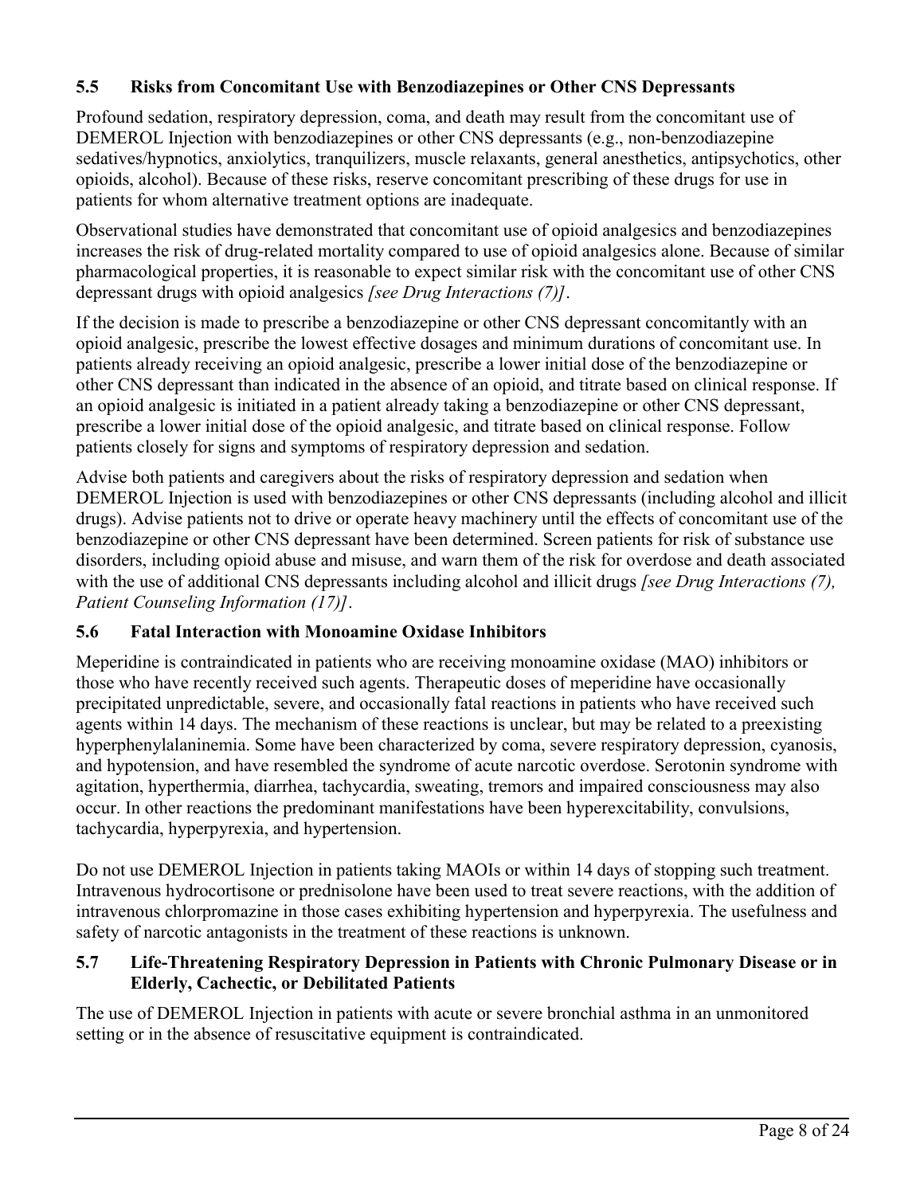# **5.5 Risks from Concomitant Use with Benzodiazepines or Other CNS Depressants**

Profound sedation, respiratory depression, coma, and death may result from the concomitant use of DEMEROL Injection with benzodiazepines or other CNS depressants (e.g., non-benzodiazepine sedatives/hypnotics, anxiolytics, tranquilizers, muscle relaxants, general anesthetics, antipsychotics, other opioids, alcohol). Because of these risks, reserve concomitant prescribing of these drugs for use in patients for whom alternative treatment options are inadequate.

Observational studies have demonstrated that concomitant use of opioid analgesics and benzodiazepines increases the risk of drug-related mortality compared to use of opioid analgesics alone. Because of similar pharmacological properties, it is reasonable to expect similar risk with the concomitant use of other CNS depressant drugs with opioid analgesics *[see Drug Interactions (7)]*.

If the decision is made to prescribe a benzodiazepine or other CNS depressant concomitantly with an opioid analgesic, prescribe the lowest effective dosages and minimum durations of concomitant use. In patients already receiving an opioid analgesic, prescribe a lower initial dose of the benzodiazepine or other CNS depressant than indicated in the absence of an opioid, and titrate based on clinical response. If an opioid analgesic is initiated in a patient already taking a benzodiazepine or other CNS depressant, prescribe a lower initial dose of the opioid analgesic, and titrate based on clinical response. Follow patients closely for signs and symptoms of respiratory depression and sedation.

Advise both patients and caregivers about the risks of respiratory depression and sedation when DEMEROL Injection is used with benzodiazepines or other CNS depressants (including alcohol and illicit drugs). Advise patients not to drive or operate heavy machinery until the effects of concomitant use of the benzodiazepine or other CNS depressant have been determined. Screen patients for risk of substance use disorders, including opioid abuse and misuse, and warn them of the risk for overdose and death associated with the use of additional CNS depressants including alcohol and illicit drugs *[see Drug Interactions (7), Patient Counseling Information (17)]*.

# **5.6 Fatal Interaction with Monoamine Oxidase Inhibitors**

Meperidine is contraindicated in patients who are receiving monoamine oxidase (MAO) inhibitors or those who have recently received such agents. Therapeutic doses of meperidine have occasionally precipitated unpredictable, severe, and occasionally fatal reactions in patients who have received such agents within 14 days. The mechanism of these reactions is unclear, but may be related to a preexisting hyperphenylalaninemia. Some have been characterized by coma, severe respiratory depression, cyanosis, and hypotension, and have resembled the syndrome of acute narcotic overdose. Serotonin syndrome with agitation, hyperthermia, diarrhea, tachycardia, sweating, tremors and impaired consciousness may also occur. In other reactions the predominant manifestations have been hyperexcitability, convulsions, tachycardia, hyperpyrexia, and hypertension.

Do not use DEMEROL Injection in patients taking MAOIs or within 14 days of stopping such treatment. Intravenous hydrocortisone or prednisolone have been used to treat severe reactions, with the addition of intravenous chlorpromazine in those cases exhibiting hypertension and hyperpyrexia. The usefulness and safety of narcotic antagonists in the treatment of these reactions is unknown.

### **5.7 Life-Threatening Respiratory Depression in Patients with Chronic Pulmonary Disease or in Elderly, Cachectic, or Debilitated Patients**

The use of DEMEROL Injection in patients with acute or severe bronchial asthma in an unmonitored setting or in the absence of resuscitative equipment is contraindicated.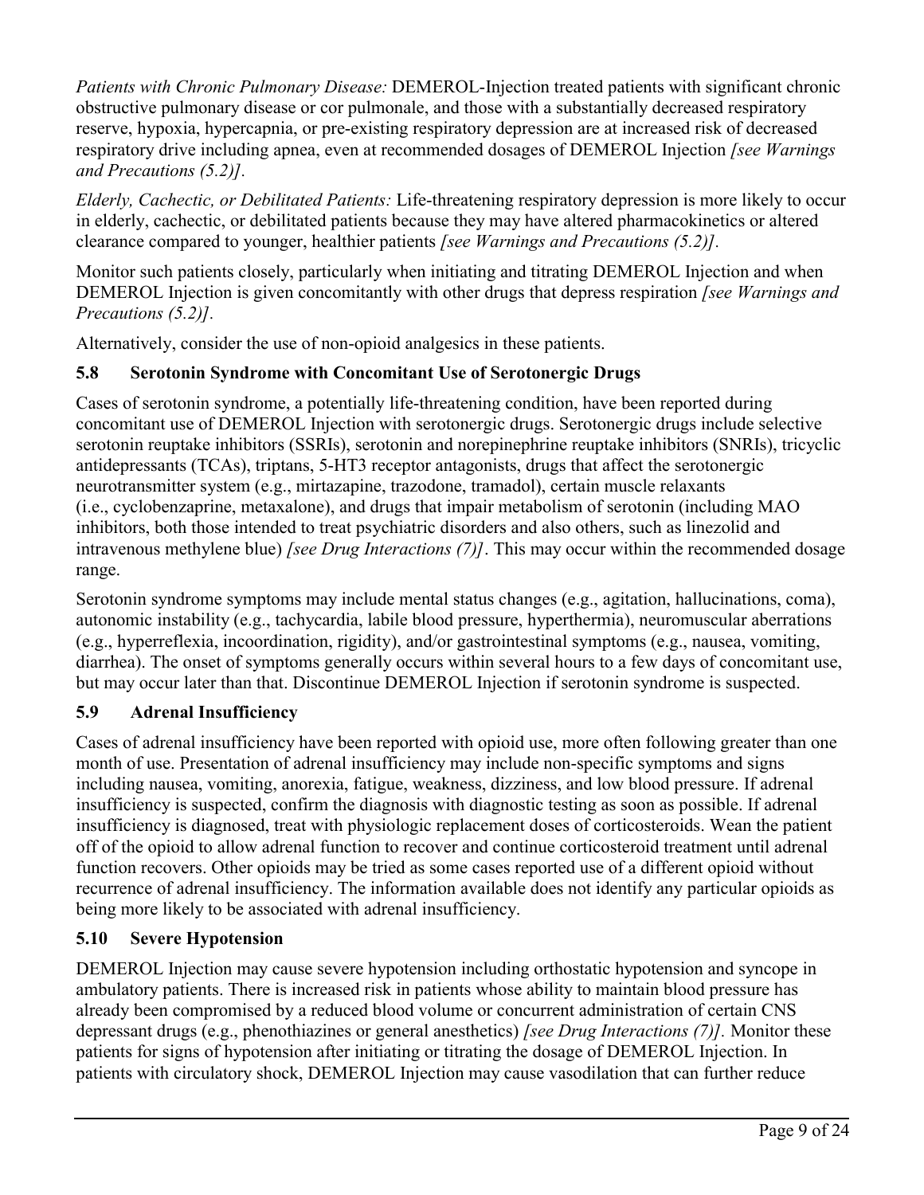*Patients with Chronic Pulmonary Disease:* DEMEROL-Injection treated patients with significant chronic obstructive pulmonary disease or cor pulmonale, and those with a substantially decreased respiratory reserve, hypoxia, hypercapnia, or pre-existing respiratory depression are at increased risk of decreased respiratory drive including apnea, even at recommended dosages of DEMEROL Injection *[see Warnings and Precautions (5.2)].*

*Elderly, Cachectic, or Debilitated Patients:* Life-threatening respiratory depression is more likely to occur in elderly, cachectic, or debilitated patients because they may have altered pharmacokinetics or altered clearance compared to younger, healthier patients *[see Warnings and Precautions (5.2)].*

Monitor such patients closely, particularly when initiating and titrating DEMEROL Injection and when DEMEROL Injection is given concomitantly with other drugs that depress respiration *[see Warnings and Precautions (5.2)].*

Alternatively, consider the use of non-opioid analgesics in these patients.

# **5.8 Serotonin Syndrome with Concomitant Use of Serotonergic Drugs**

Cases of serotonin syndrome, a potentially life-threatening condition, have been reported during concomitant use of DEMEROL Injection with serotonergic drugs. Serotonergic drugs include selective serotonin reuptake inhibitors (SSRIs), serotonin and norepinephrine reuptake inhibitors (SNRIs), tricyclic antidepressants (TCAs), triptans, 5-HT3 receptor antagonists, drugs that affect the serotonergic neurotransmitter system (e.g., mirtazapine, trazodone, tramadol), certain muscle relaxants (i.e., cyclobenzaprine, metaxalone), and drugs that impair metabolism of serotonin (including MAO inhibitors, both those intended to treat psychiatric disorders and also others, such as linezolid and intravenous methylene blue) *[see Drug Interactions (7)]*. This may occur within the recommended dosage range.

Serotonin syndrome symptoms may include mental status changes (e.g., agitation, hallucinations, coma), autonomic instability (e.g., tachycardia, labile blood pressure, hyperthermia), neuromuscular aberrations (e.g., hyperreflexia, incoordination, rigidity), and/or gastrointestinal symptoms (e.g., nausea, vomiting, diarrhea). The onset of symptoms generally occurs within several hours to a few days of concomitant use, but may occur later than that. Discontinue DEMEROL Injection if serotonin syndrome is suspected.

# **5.9 Adrenal Insufficiency**

Cases of adrenal insufficiency have been reported with opioid use, more often following greater than one month of use. Presentation of adrenal insufficiency may include non-specific symptoms and signs including nausea, vomiting, anorexia, fatigue, weakness, dizziness, and low blood pressure. If adrenal insufficiency is suspected, confirm the diagnosis with diagnostic testing as soon as possible. If adrenal insufficiency is diagnosed, treat with physiologic replacement doses of corticosteroids. Wean the patient off of the opioid to allow adrenal function to recover and continue corticosteroid treatment until adrenal function recovers. Other opioids may be tried as some cases reported use of a different opioid without recurrence of adrenal insufficiency. The information available does not identify any particular opioids as being more likely to be associated with adrenal insufficiency.

# **5.10 Severe Hypotension**

DEMEROL Injection may cause severe hypotension including orthostatic hypotension and syncope in ambulatory patients. There is increased risk in patients whose ability to maintain blood pressure has already been compromised by a reduced blood volume or concurrent administration of certain CNS depressant drugs (e.g., phenothiazines or general anesthetics) *[see Drug Interactions (7)].* Monitor these patients for signs of hypotension after initiating or titrating the dosage of DEMEROL Injection. In patients with circulatory shock, DEMEROL Injection may cause vasodilation that can further reduce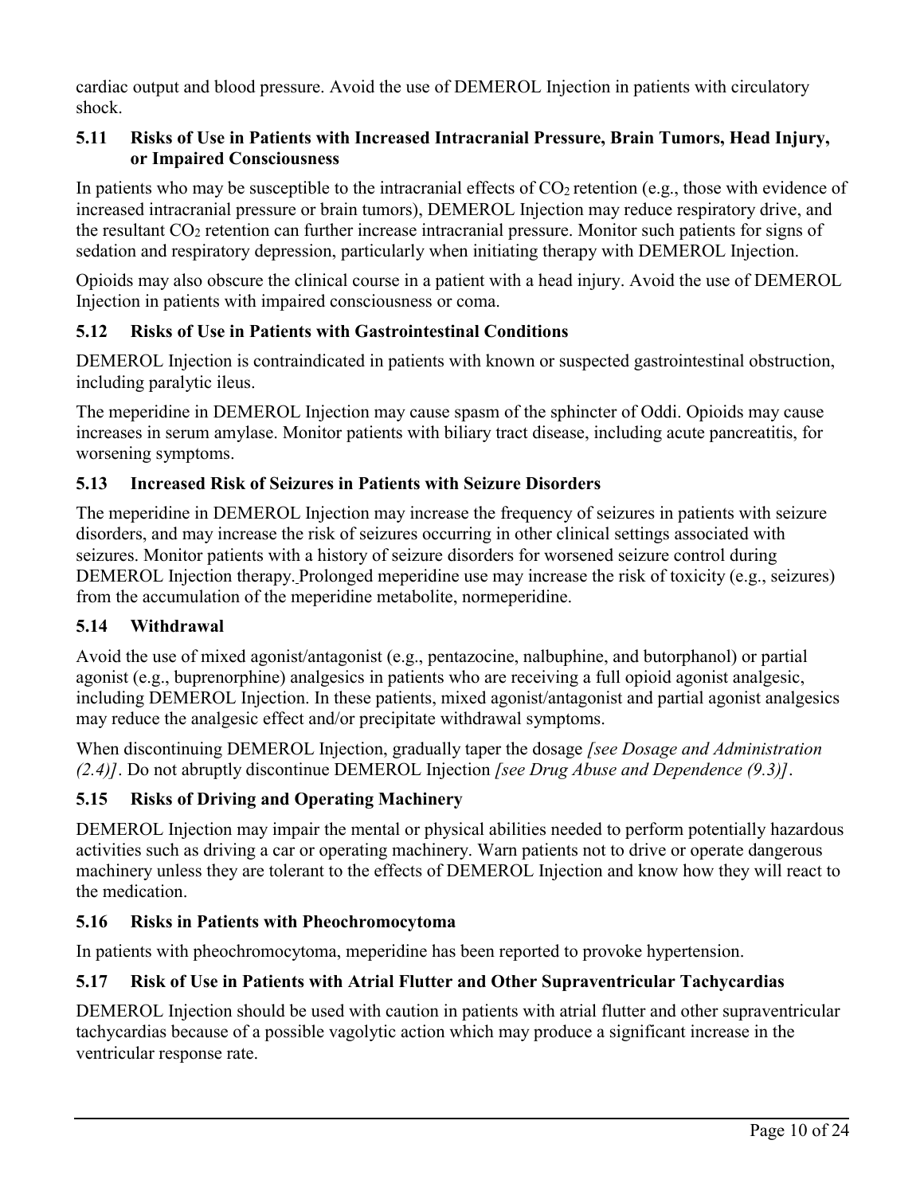cardiac output and blood pressure. Avoid the use of DEMEROL Injection in patients with circulatory shock.

### **5.11 Risks of Use in Patients with Increased Intracranial Pressure, Brain Tumors, Head Injury, or Impaired Consciousness**

In patients who may be susceptible to the intracranial effects of  $CO<sub>2</sub>$  retention (e.g., those with evidence of increased intracranial pressure or brain tumors), DEMEROL Injection may reduce respiratory drive, and the resultant CO<sup>2</sup> retention can further increase intracranial pressure. Monitor such patients for signs of sedation and respiratory depression, particularly when initiating therapy with DEMEROL Injection.

Opioids may also obscure the clinical course in a patient with a head injury. Avoid the use of DEMEROL Injection in patients with impaired consciousness or coma.

# **5.12 Risks of Use in Patients with Gastrointestinal Conditions**

DEMEROL Injection is contraindicated in patients with known or suspected gastrointestinal obstruction, including paralytic ileus.

The meperidine in DEMEROL Injection may cause spasm of the sphincter of Oddi. Opioids may cause increases in serum amylase. Monitor patients with biliary tract disease, including acute pancreatitis, for worsening symptoms.

# **5.13 Increased Risk of Seizures in Patients with Seizure Disorders**

The meperidine in DEMEROL Injection may increase the frequency of seizures in patients with seizure disorders, and may increase the risk of seizures occurring in other clinical settings associated with seizures. Monitor patients with a history of seizure disorders for worsened seizure control during DEMEROL Injection therapy. Prolonged meperidine use may increase the risk of toxicity (e.g., seizures) from the accumulation of the meperidine metabolite, normeperidine.

# **5.14 Withdrawal**

Avoid the use of mixed agonist/antagonist (e.g., pentazocine, nalbuphine, and butorphanol) or partial agonist (e.g., buprenorphine) analgesics in patients who are receiving a full opioid agonist analgesic, including DEMEROL Injection. In these patients, mixed agonist/antagonist and partial agonist analgesics may reduce the analgesic effect and/or precipitate withdrawal symptoms.

When discontinuing DEMEROL Injection, gradually taper the dosage *[see Dosage and Administration (2.4)]*. Do not abruptly discontinue DEMEROL Injection *[see Drug Abuse and Dependence (9.3)]*.

# **5.15 Risks of Driving and Operating Machinery**

DEMEROL Injection may impair the mental or physical abilities needed to perform potentially hazardous activities such as driving a car or operating machinery. Warn patients not to drive or operate dangerous machinery unless they are tolerant to the effects of DEMEROL Injection and know how they will react to the medication.

# **5.16 Risks in Patients with Pheochromocytoma**

In patients with pheochromocytoma, meperidine has been reported to provoke hypertension.

# **5.17 Risk of Use in Patients with Atrial Flutter and Other Supraventricular Tachycardias**

DEMEROL Injection should be used with caution in patients with atrial flutter and other supraventricular tachycardias because of a possible vagolytic action which may produce a significant increase in the ventricular response rate.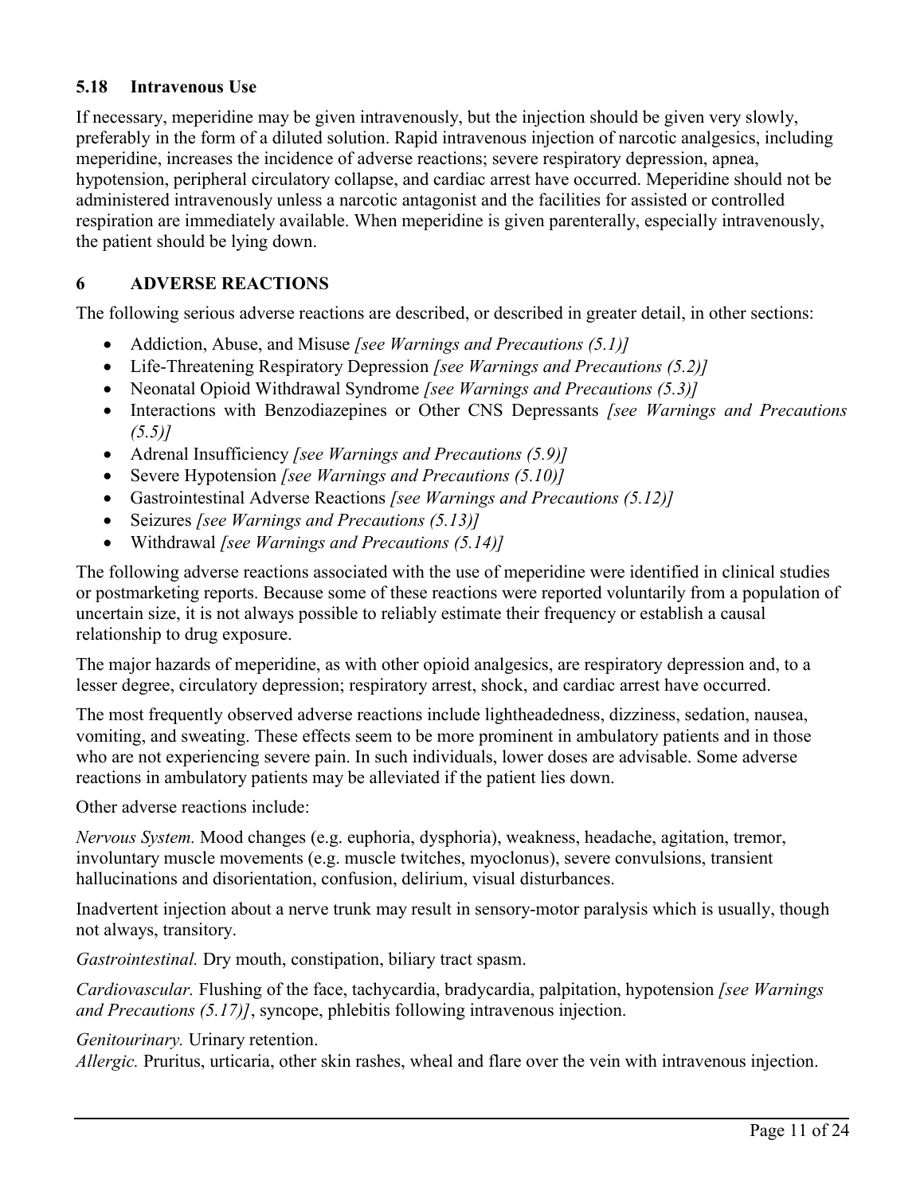### **5.18 Intravenous Use**

If necessary, meperidine may be given intravenously, but the injection should be given very slowly, preferably in the form of a diluted solution. Rapid intravenous injection of narcotic analgesics, including meperidine, increases the incidence of adverse reactions; severe respiratory depression, apnea, hypotension, peripheral circulatory collapse, and cardiac arrest have occurred. Meperidine should not be administered intravenously unless a narcotic antagonist and the facilities for assisted or controlled respiration are immediately available. When meperidine is given parenterally, especially intravenously, the patient should be lying down.

### **6 ADVERSE REACTIONS**

The following serious adverse reactions are described, or described in greater detail, in other sections:

- Addiction, Abuse, and Misuse *[see Warnings and Precautions (5.1)]*
- Life-Threatening Respiratory Depression *[see Warnings and Precautions (5.2)]*
- Neonatal Opioid Withdrawal Syndrome *[see Warnings and Precautions (5.3)]*
- Interactions with Benzodiazepines or Other CNS Depressants *[see Warnings and Precautions (5.5)]*
- Adrenal Insufficiency *[see Warnings and Precautions (5.9)]*
- Severe Hypotension *[see Warnings and Precautions (5.10)]*
- Gastrointestinal Adverse Reactions *[see Warnings and Precautions (5.12)]*
- Seizures *[see Warnings and Precautions (5.13)]*
- Withdrawal *[see Warnings and Precautions (5.14)]*

The following adverse reactions associated with the use of meperidine were identified in clinical studies or postmarketing reports. Because some of these reactions were reported voluntarily from a population of uncertain size, it is not always possible to reliably estimate their frequency or establish a causal relationship to drug exposure.

The major hazards of meperidine, as with other opioid analgesics, are respiratory depression and, to a lesser degree, circulatory depression; respiratory arrest, shock, and cardiac arrest have occurred.

The most frequently observed adverse reactions include lightheadedness, dizziness, sedation, nausea, vomiting, and sweating. These effects seem to be more prominent in ambulatory patients and in those who are not experiencing severe pain. In such individuals, lower doses are advisable. Some adverse reactions in ambulatory patients may be alleviated if the patient lies down.

Other adverse reactions include:

*Nervous System.* Mood changes (e.g. euphoria, dysphoria), weakness, headache, agitation, tremor, involuntary muscle movements (e.g. muscle twitches, myoclonus), severe convulsions, transient hallucinations and disorientation, confusion, delirium, visual disturbances.

Inadvertent injection about a nerve trunk may result in sensory-motor paralysis which is usually, though not always, transitory.

*Gastrointestinal.* Dry mouth, constipation, biliary tract spasm.

*Cardiovascular.* Flushing of the face, tachycardia, bradycardia, palpitation, hypotension *[see Warnings and Precautions (5.17)]*, syncope, phlebitis following intravenous injection.

*Genitourinary.* Urinary retention.

*Allergic.* Pruritus, urticaria, other skin rashes, wheal and flare over the vein with intravenous injection.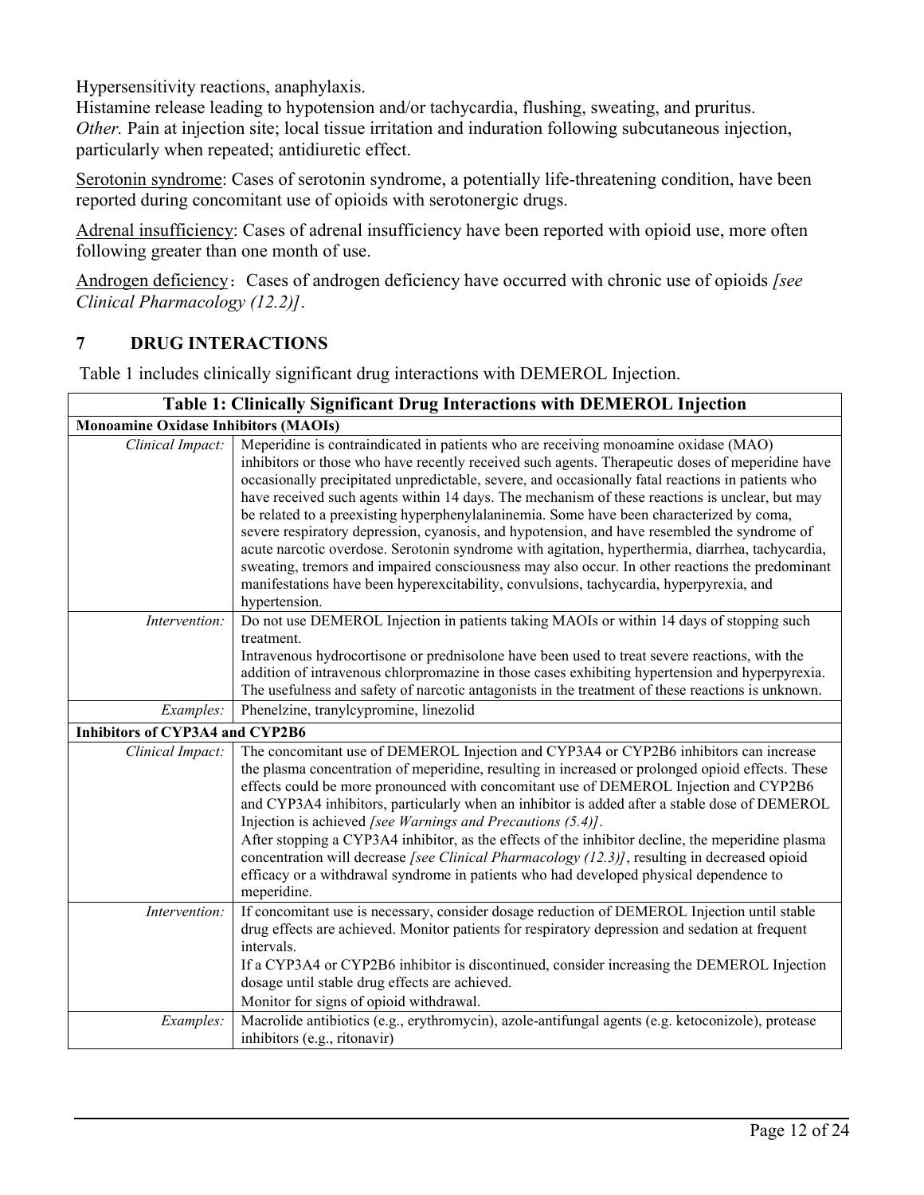Hypersensitivity reactions, anaphylaxis.

Histamine release leading to hypotension and/or tachycardia, flushing, sweating, and pruritus. *Other*. Pain at injection site; local tissue irritation and induration following subcutaneous injection, particularly when repeated; antidiuretic effect.

Serotonin syndrome: Cases of serotonin syndrome, a potentially life-threatening condition, have been reported during concomitant use of opioids with serotonergic drugs.

Adrenal insufficiency: Cases of adrenal insufficiency have been reported with opioid use, more often following greater than one month of use.

Androgen deficiency: Cases of androgen deficiency have occurred with chronic use of opioids *[see Clinical Pharmacology (12.2)]*.

### **7 DRUG INTERACTIONS**

Table 1 includes clinically significant drug interactions with DEMEROL Injection.

| Table 1: Clinically Significant Drug Interactions with DEMEROL Injection |                                                                                                                                                                                                                                                                                                                                                                                                                                                                                                                                                                                                                                                                                                                                                                                                                                                                                                               |  |
|--------------------------------------------------------------------------|---------------------------------------------------------------------------------------------------------------------------------------------------------------------------------------------------------------------------------------------------------------------------------------------------------------------------------------------------------------------------------------------------------------------------------------------------------------------------------------------------------------------------------------------------------------------------------------------------------------------------------------------------------------------------------------------------------------------------------------------------------------------------------------------------------------------------------------------------------------------------------------------------------------|--|
| <b>Monoamine Oxidase Inhibitors (MAOIs)</b>                              |                                                                                                                                                                                                                                                                                                                                                                                                                                                                                                                                                                                                                                                                                                                                                                                                                                                                                                               |  |
| Clinical Impact:                                                         | Meperidine is contraindicated in patients who are receiving monoamine oxidase (MAO)<br>inhibitors or those who have recently received such agents. Therapeutic doses of meperidine have<br>occasionally precipitated unpredictable, severe, and occasionally fatal reactions in patients who<br>have received such agents within 14 days. The mechanism of these reactions is unclear, but may<br>be related to a preexisting hyperphenylalaninemia. Some have been characterized by coma,<br>severe respiratory depression, cyanosis, and hypotension, and have resembled the syndrome of<br>acute narcotic overdose. Serotonin syndrome with agitation, hyperthermia, diarrhea, tachycardia,<br>sweating, tremors and impaired consciousness may also occur. In other reactions the predominant<br>manifestations have been hyperexcitability, convulsions, tachycardia, hyperpyrexia, and<br>hypertension. |  |
| Intervention:                                                            | Do not use DEMEROL Injection in patients taking MAOIs or within 14 days of stopping such<br>treatment.<br>Intravenous hydrocortisone or prednisolone have been used to treat severe reactions, with the<br>addition of intravenous chlorpromazine in those cases exhibiting hypertension and hyperpyrexia.<br>The usefulness and safety of narcotic antagonists in the treatment of these reactions is unknown.                                                                                                                                                                                                                                                                                                                                                                                                                                                                                               |  |
| Examples:                                                                | Phenelzine, tranylcypromine, linezolid                                                                                                                                                                                                                                                                                                                                                                                                                                                                                                                                                                                                                                                                                                                                                                                                                                                                        |  |
| Inhibitors of CYP3A4 and CYP2B6                                          |                                                                                                                                                                                                                                                                                                                                                                                                                                                                                                                                                                                                                                                                                                                                                                                                                                                                                                               |  |
| Clinical Impact:                                                         | The concomitant use of DEMEROL Injection and CYP3A4 or CYP2B6 inhibitors can increase<br>the plasma concentration of meperidine, resulting in increased or prolonged opioid effects. These<br>effects could be more pronounced with concomitant use of DEMEROL Injection and CYP2B6<br>and CYP3A4 inhibitors, particularly when an inhibitor is added after a stable dose of DEMEROL<br>Injection is achieved [see Warnings and Precautions (5.4)].<br>After stopping a CYP3A4 inhibitor, as the effects of the inhibitor decline, the meperidine plasma<br>concentration will decrease [see Clinical Pharmacology (12.3)], resulting in decreased opioid                                                                                                                                                                                                                                                     |  |
|                                                                          | efficacy or a withdrawal syndrome in patients who had developed physical dependence to<br>meperidine.                                                                                                                                                                                                                                                                                                                                                                                                                                                                                                                                                                                                                                                                                                                                                                                                         |  |
| Intervention:                                                            | If concomitant use is necessary, consider dosage reduction of DEMEROL Injection until stable<br>drug effects are achieved. Monitor patients for respiratory depression and sedation at frequent<br>intervals.<br>If a CYP3A4 or CYP2B6 inhibitor is discontinued, consider increasing the DEMEROL Injection<br>dosage until stable drug effects are achieved.<br>Monitor for signs of opioid withdrawal.                                                                                                                                                                                                                                                                                                                                                                                                                                                                                                      |  |
| Examples:                                                                | Macrolide antibiotics (e.g., erythromycin), azole-antifungal agents (e.g. ketoconizole), protease<br>inhibitors (e.g., ritonavir)                                                                                                                                                                                                                                                                                                                                                                                                                                                                                                                                                                                                                                                                                                                                                                             |  |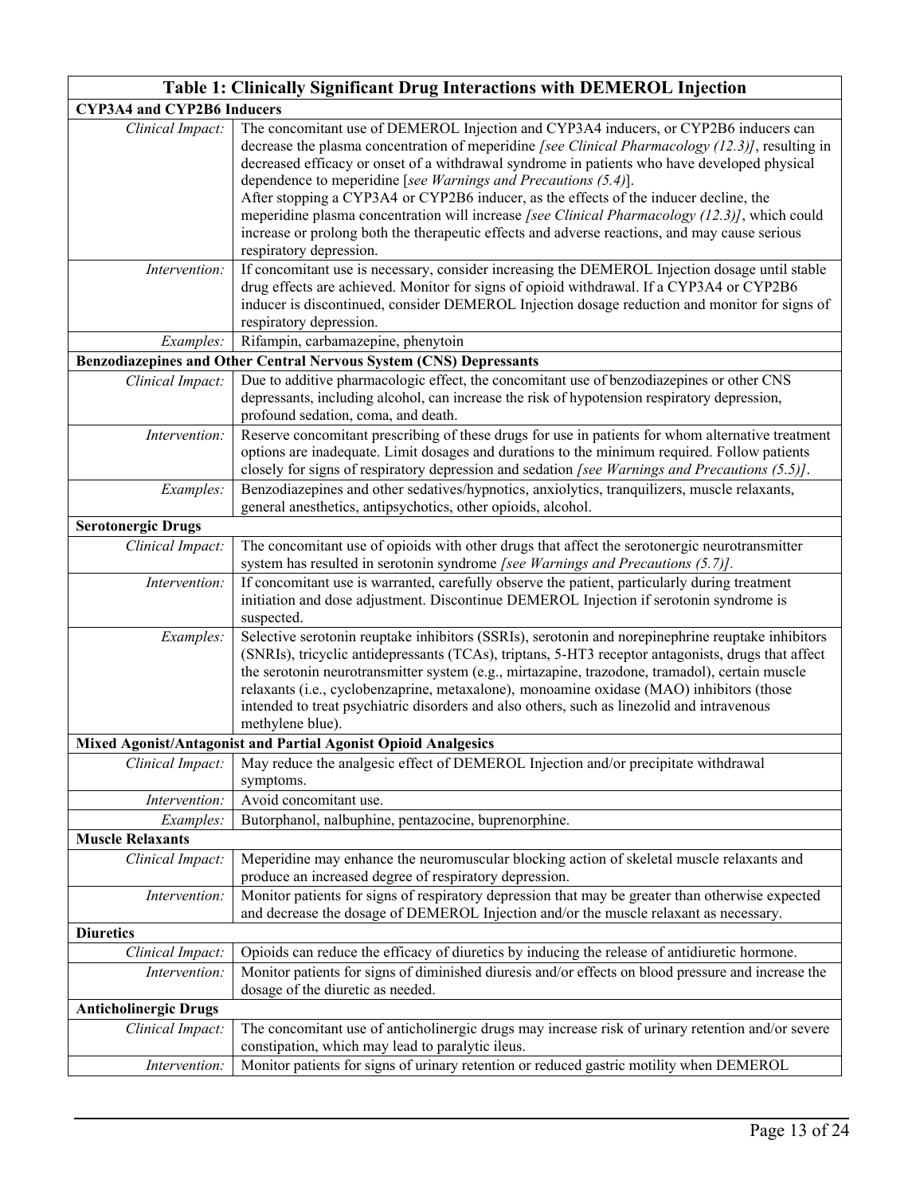| Table 1: Clinically Significant Drug Interactions with DEMEROL Injection |                                                                                                                                                                                                                                                                                                                                                                                                                                                                                                                                                                                                                                                                                  |  |  |
|--------------------------------------------------------------------------|----------------------------------------------------------------------------------------------------------------------------------------------------------------------------------------------------------------------------------------------------------------------------------------------------------------------------------------------------------------------------------------------------------------------------------------------------------------------------------------------------------------------------------------------------------------------------------------------------------------------------------------------------------------------------------|--|--|
| <b>CYP3A4 and CYP2B6 Inducers</b>                                        |                                                                                                                                                                                                                                                                                                                                                                                                                                                                                                                                                                                                                                                                                  |  |  |
| Clinical Impact:                                                         | The concomitant use of DEMEROL Injection and CYP3A4 inducers, or CYP2B6 inducers can<br>decrease the plasma concentration of meperidine [see Clinical Pharmacology (12.3)], resulting in<br>decreased efficacy or onset of a withdrawal syndrome in patients who have developed physical<br>dependence to meperidine [see Warnings and Precautions (5.4)].<br>After stopping a CYP3A4 or CYP2B6 inducer, as the effects of the inducer decline, the<br>meperidine plasma concentration will increase [see Clinical Pharmacology (12.3)], which could<br>increase or prolong both the therapeutic effects and adverse reactions, and may cause serious<br>respiratory depression. |  |  |
| Intervention:                                                            | If concomitant use is necessary, consider increasing the DEMEROL Injection dosage until stable<br>drug effects are achieved. Monitor for signs of opioid withdrawal. If a CYP3A4 or CYP2B6<br>inducer is discontinued, consider DEMEROL Injection dosage reduction and monitor for signs of<br>respiratory depression.                                                                                                                                                                                                                                                                                                                                                           |  |  |
| Examples:                                                                | Rifampin, carbamazepine, phenytoin                                                                                                                                                                                                                                                                                                                                                                                                                                                                                                                                                                                                                                               |  |  |
|                                                                          | Benzodiazepines and Other Central Nervous System (CNS) Depressants                                                                                                                                                                                                                                                                                                                                                                                                                                                                                                                                                                                                               |  |  |
| Clinical Impact:<br>Intervention:                                        | Due to additive pharmacologic effect, the concomitant use of benzodiazepines or other CNS<br>depressants, including alcohol, can increase the risk of hypotension respiratory depression,<br>profound sedation, coma, and death.<br>Reserve concomitant prescribing of these drugs for use in patients for whom alternative treatment                                                                                                                                                                                                                                                                                                                                            |  |  |
| Examples:                                                                | options are inadequate. Limit dosages and durations to the minimum required. Follow patients<br>closely for signs of respiratory depression and sedation [see Warnings and Precautions (5.5)].<br>Benzodiazepines and other sedatives/hypnotics, anxiolytics, tranquilizers, muscle relaxants,                                                                                                                                                                                                                                                                                                                                                                                   |  |  |
|                                                                          | general anesthetics, antipsychotics, other opioids, alcohol.                                                                                                                                                                                                                                                                                                                                                                                                                                                                                                                                                                                                                     |  |  |
| <b>Serotonergic Drugs</b>                                                |                                                                                                                                                                                                                                                                                                                                                                                                                                                                                                                                                                                                                                                                                  |  |  |
| Clinical Impact:                                                         | The concomitant use of opioids with other drugs that affect the serotonergic neurotransmitter<br>system has resulted in serotonin syndrome [see Warnings and Precautions (5.7)].                                                                                                                                                                                                                                                                                                                                                                                                                                                                                                 |  |  |
| Intervention:                                                            | If concomitant use is warranted, carefully observe the patient, particularly during treatment<br>initiation and dose adjustment. Discontinue DEMEROL Injection if serotonin syndrome is<br>suspected.                                                                                                                                                                                                                                                                                                                                                                                                                                                                            |  |  |
| Examples:                                                                | Selective serotonin reuptake inhibitors (SSRIs), serotonin and norepinephrine reuptake inhibitors<br>(SNRIs), tricyclic antidepressants (TCAs), triptans, 5-HT3 receptor antagonists, drugs that affect<br>the serotonin neurotransmitter system (e.g., mirtazapine, trazodone, tramadol), certain muscle<br>relaxants (i.e., cyclobenzaprine, metaxalone), monoamine oxidase (MAO) inhibitors (those<br>intended to treat psychiatric disorders and also others, such as linezolid and intravenous<br>methylene blue).                                                                                                                                                          |  |  |
|                                                                          | Mixed Agonist/Antagonist and Partial Agonist Opioid Analgesics                                                                                                                                                                                                                                                                                                                                                                                                                                                                                                                                                                                                                   |  |  |
| Clinical Impact:                                                         | May reduce the analgesic effect of DEMEROL Injection and/or precipitate withdrawal<br>symptoms.                                                                                                                                                                                                                                                                                                                                                                                                                                                                                                                                                                                  |  |  |
| Intervention:                                                            | Avoid concomitant use.                                                                                                                                                                                                                                                                                                                                                                                                                                                                                                                                                                                                                                                           |  |  |
| Examples:                                                                | Butorphanol, nalbuphine, pentazocine, buprenorphine.                                                                                                                                                                                                                                                                                                                                                                                                                                                                                                                                                                                                                             |  |  |
| <b>Muscle Relaxants</b>                                                  |                                                                                                                                                                                                                                                                                                                                                                                                                                                                                                                                                                                                                                                                                  |  |  |
| Clinical Impact:                                                         | Meperidine may enhance the neuromuscular blocking action of skeletal muscle relaxants and<br>produce an increased degree of respiratory depression.                                                                                                                                                                                                                                                                                                                                                                                                                                                                                                                              |  |  |
| Intervention:                                                            | Monitor patients for signs of respiratory depression that may be greater than otherwise expected<br>and decrease the dosage of DEMEROL Injection and/or the muscle relaxant as necessary.                                                                                                                                                                                                                                                                                                                                                                                                                                                                                        |  |  |
| <b>Diuretics</b>                                                         |                                                                                                                                                                                                                                                                                                                                                                                                                                                                                                                                                                                                                                                                                  |  |  |
| Clinical Impact:                                                         | Opioids can reduce the efficacy of diuretics by inducing the release of antidiuretic hormone.                                                                                                                                                                                                                                                                                                                                                                                                                                                                                                                                                                                    |  |  |
| Intervention:                                                            | Monitor patients for signs of diminished diuresis and/or effects on blood pressure and increase the<br>dosage of the diuretic as needed.                                                                                                                                                                                                                                                                                                                                                                                                                                                                                                                                         |  |  |
| <b>Anticholinergic Drugs</b>                                             |                                                                                                                                                                                                                                                                                                                                                                                                                                                                                                                                                                                                                                                                                  |  |  |
| Clinical Impact:                                                         | The concomitant use of anticholinergic drugs may increase risk of urinary retention and/or severe<br>constipation, which may lead to paralytic ileus.                                                                                                                                                                                                                                                                                                                                                                                                                                                                                                                            |  |  |
| Intervention:                                                            | Monitor patients for signs of urinary retention or reduced gastric motility when DEMEROL                                                                                                                                                                                                                                                                                                                                                                                                                                                                                                                                                                                         |  |  |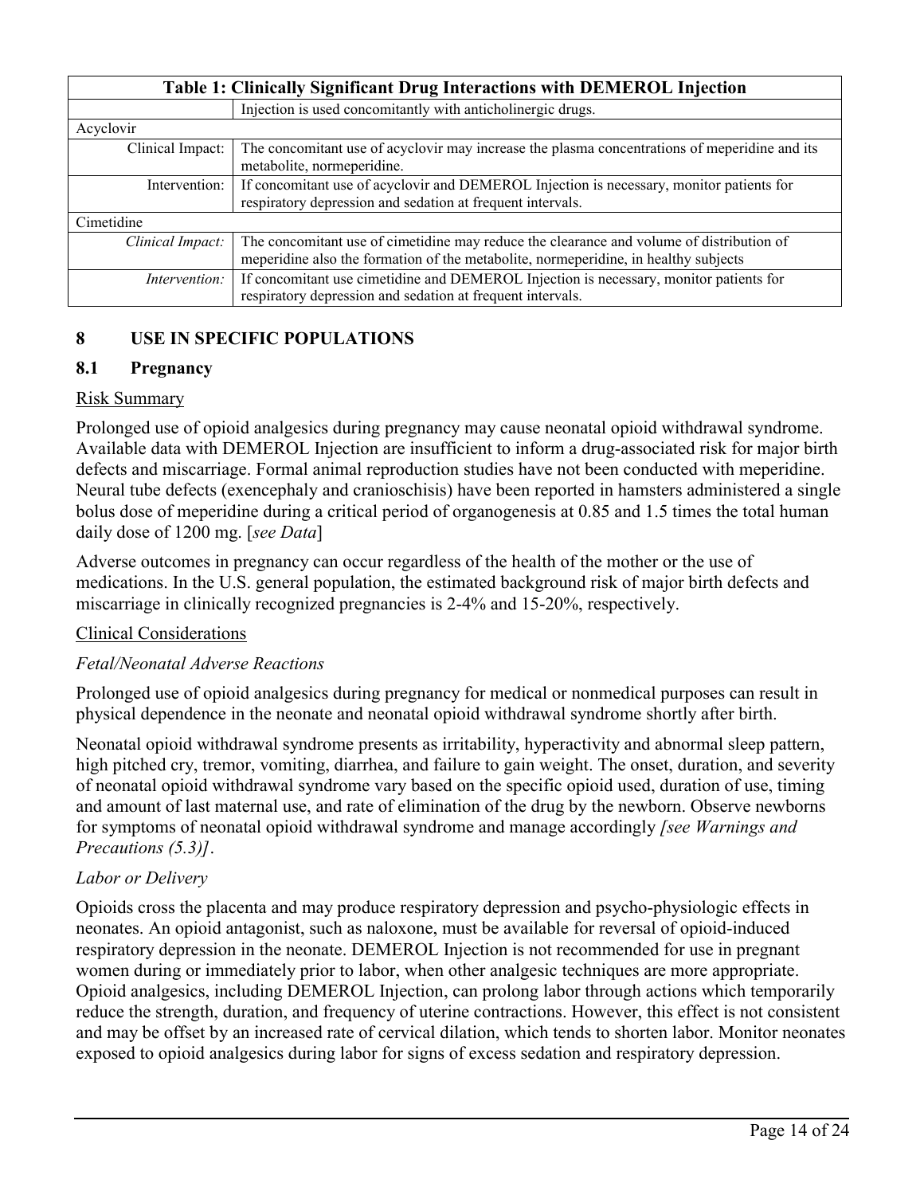| Table 1: Clinically Significant Drug Interactions with DEMEROL Injection |                                                                                                                                                                                 |  |  |
|--------------------------------------------------------------------------|---------------------------------------------------------------------------------------------------------------------------------------------------------------------------------|--|--|
|                                                                          | Injection is used concomitantly with anticholinergic drugs.                                                                                                                     |  |  |
| Acyclovir                                                                |                                                                                                                                                                                 |  |  |
| Clinical Impact:                                                         | The concomitant use of acyclovir may increase the plasma concentrations of meperidine and its<br>metabolite, normeperidine.                                                     |  |  |
| Intervention:                                                            | If concomitant use of acyclovir and DEMEROL Injection is necessary, monitor patients for<br>respiratory depression and sedation at frequent intervals.                          |  |  |
| Cimetidine                                                               |                                                                                                                                                                                 |  |  |
| Clinical Impact:                                                         | The concomitant use of cimetidine may reduce the clearance and volume of distribution of<br>meperidine also the formation of the metabolite, normeperidine, in healthy subjects |  |  |
| Intervention:                                                            | If concomitant use cimetidine and DEMEROL Injection is necessary, monitor patients for<br>respiratory depression and sedation at frequent intervals.                            |  |  |

# **8 USE IN SPECIFIC POPULATIONS**

### **8.1 Pregnancy**

### Risk Summary

Prolonged use of opioid analgesics during pregnancy may cause neonatal opioid withdrawal syndrome. Available data with DEMEROL Injection are insufficient to inform a drug-associated risk for major birth defects and miscarriage. Formal animal reproduction studies have not been conducted with meperidine. Neural tube defects (exencephaly and cranioschisis) have been reported in hamsters administered a single bolus dose of meperidine during a critical period of organogenesis at 0.85 and 1.5 times the total human daily dose of 1200 mg. [*see Data*]

Adverse outcomes in pregnancy can occur regardless of the health of the mother or the use of medications. In the U.S. general population, the estimated background risk of major birth defects and miscarriage in clinically recognized pregnancies is 2-4% and 15-20%, respectively.

# Clinical Considerations

# *Fetal/Neonatal Adverse Reactions*

Prolonged use of opioid analgesics during pregnancy for medical or nonmedical purposes can result in physical dependence in the neonate and neonatal opioid withdrawal syndrome shortly after birth.

Neonatal opioid withdrawal syndrome presents as irritability, hyperactivity and abnormal sleep pattern, high pitched cry, tremor, vomiting, diarrhea, and failure to gain weight. The onset, duration, and severity of neonatal opioid withdrawal syndrome vary based on the specific opioid used, duration of use, timing and amount of last maternal use, and rate of elimination of the drug by the newborn. Observe newborns for symptoms of neonatal opioid withdrawal syndrome and manage accordingly *[see Warnings and Precautions (5.3)]*.

# *Labor or Delivery*

Opioids cross the placenta and may produce respiratory depression and psycho-physiologic effects in neonates. An opioid antagonist, such as naloxone, must be available for reversal of opioid-induced respiratory depression in the neonate. DEMEROL Injection is not recommended for use in pregnant women during or immediately prior to labor, when other analgesic techniques are more appropriate. Opioid analgesics, including DEMEROL Injection, can prolong labor through actions which temporarily reduce the strength, duration, and frequency of uterine contractions. However, this effect is not consistent and may be offset by an increased rate of cervical dilation, which tends to shorten labor. Monitor neonates exposed to opioid analgesics during labor for signs of excess sedation and respiratory depression.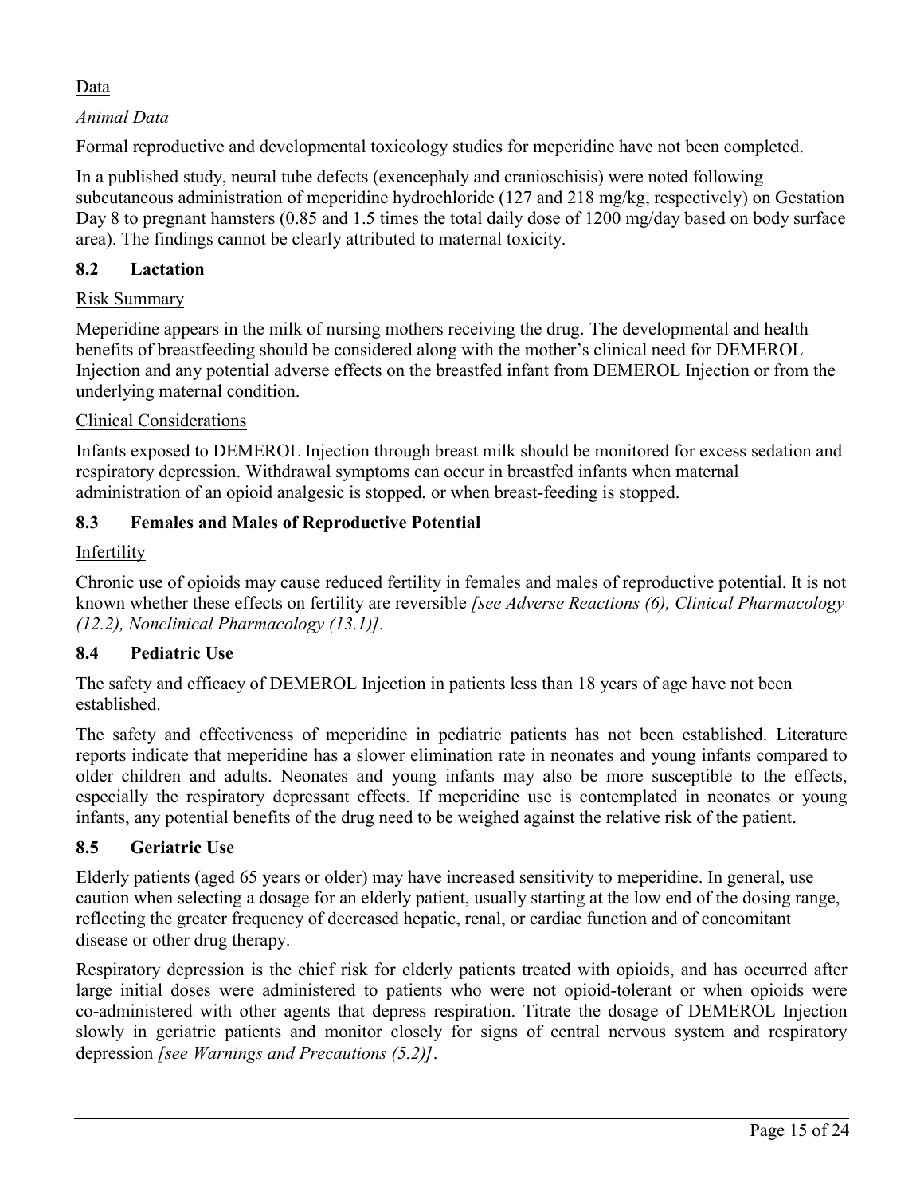# Data

### *Animal Data*

Formal reproductive and developmental toxicology studies for meperidine have not been completed.

In a published study, neural tube defects (exencephaly and cranioschisis) were noted following subcutaneous administration of meperidine hydrochloride (127 and 218 mg/kg, respectively) on Gestation Day 8 to pregnant hamsters (0.85 and 1.5 times the total daily dose of 1200 mg/day based on body surface area). The findings cannot be clearly attributed to maternal toxicity.

### **8.2 Lactation**

### Risk Summary

Meperidine appears in the milk of nursing mothers receiving the drug. The developmental and health benefits of breastfeeding should be considered along with the mother's clinical need for DEMEROL Injection and any potential adverse effects on the breastfed infant from DEMEROL Injection or from the underlying maternal condition.

### Clinical Considerations

Infants exposed to DEMEROL Injection through breast milk should be monitored for excess sedation and respiratory depression. Withdrawal symptoms can occur in breastfed infants when maternal administration of an opioid analgesic is stopped, or when breast-feeding is stopped.

### **8.3 Females and Males of Reproductive Potential**

### Infertility

Chronic use of opioids may cause reduced fertility in females and males of reproductive potential. It is not known whether these effects on fertility are reversible *[see Adverse Reactions (6), Clinical Pharmacology (12.2), Nonclinical Pharmacology (13.1)].*

### **8.4 Pediatric Use**

The safety and efficacy of DEMEROL Injection in patients less than 18 years of age have not been established.

The safety and effectiveness of meperidine in pediatric patients has not been established. Literature reports indicate that meperidine has a slower elimination rate in neonates and young infants compared to older children and adults. Neonates and young infants may also be more susceptible to the effects, especially the respiratory depressant effects. If meperidine use is contemplated in neonates or young infants, any potential benefits of the drug need to be weighed against the relative risk of the patient.

### **8.5 Geriatric Use**

Elderly patients (aged 65 years or older) may have increased sensitivity to meperidine. In general, use caution when selecting a dosage for an elderly patient, usually starting at the low end of the dosing range, reflecting the greater frequency of decreased hepatic, renal, or cardiac function and of concomitant disease or other drug therapy.

Respiratory depression is the chief risk for elderly patients treated with opioids, and has occurred after large initial doses were administered to patients who were not opioid-tolerant or when opioids were co-administered with other agents that depress respiration. Titrate the dosage of DEMEROL Injection slowly in geriatric patients and monitor closely for signs of central nervous system and respiratory depression *[see Warnings and Precautions (5.2)]*.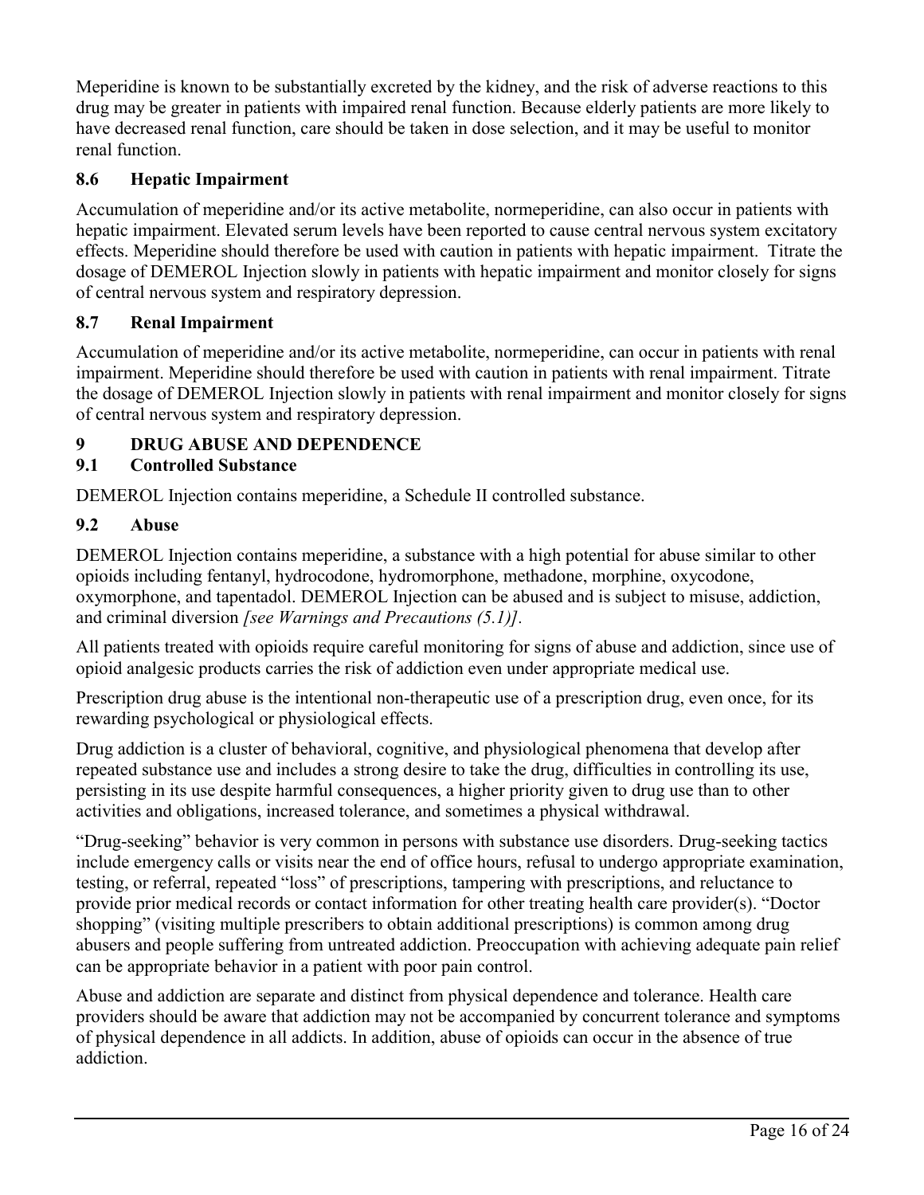Meperidine is known to be substantially excreted by the kidney, and the risk of adverse reactions to this drug may be greater in patients with impaired renal function. Because elderly patients are more likely to have decreased renal function, care should be taken in dose selection, and it may be useful to monitor renal function.

# **8.6 Hepatic Impairment**

Accumulation of meperidine and/or its active metabolite, normeperidine, can also occur in patients with hepatic impairment. Elevated serum levels have been reported to cause central nervous system excitatory effects. Meperidine should therefore be used with caution in patients with hepatic impairment. Titrate the dosage of DEMEROL Injection slowly in patients with hepatic impairment and monitor closely for signs of central nervous system and respiratory depression.

# **8.7 Renal Impairment**

Accumulation of meperidine and/or its active metabolite, normeperidine, can occur in patients with renal impairment. Meperidine should therefore be used with caution in patients with renal impairment. Titrate the dosage of DEMEROL Injection slowly in patients with renal impairment and monitor closely for signs of central nervous system and respiratory depression.

# **9 DRUG ABUSE AND DEPENDENCE**

# **9.1 Controlled Substance**

DEMEROL Injection contains meperidine, a Schedule II controlled substance.

# **9.2 Abuse**

DEMEROL Injection contains meperidine, a substance with a high potential for abuse similar to other opioids including fentanyl, hydrocodone, hydromorphone, methadone, morphine, oxycodone, oxymorphone, and tapentadol. DEMEROL Injection can be abused and is subject to misuse, addiction, and criminal diversion *[see Warnings and Precautions (5.1)].*

All patients treated with opioids require careful monitoring for signs of abuse and addiction, since use of opioid analgesic products carries the risk of addiction even under appropriate medical use.

Prescription drug abuse is the intentional non-therapeutic use of a prescription drug, even once, for its rewarding psychological or physiological effects.

Drug addiction is a cluster of behavioral, cognitive, and physiological phenomena that develop after repeated substance use and includes a strong desire to take the drug, difficulties in controlling its use, persisting in its use despite harmful consequences, a higher priority given to drug use than to other activities and obligations, increased tolerance, and sometimes a physical withdrawal.

"Drug-seeking" behavior is very common in persons with substance use disorders. Drug-seeking tactics include emergency calls or visits near the end of office hours, refusal to undergo appropriate examination, testing, or referral, repeated "loss" of prescriptions, tampering with prescriptions, and reluctance to provide prior medical records or contact information for other treating health care provider(s). "Doctor shopping" (visiting multiple prescribers to obtain additional prescriptions) is common among drug abusers and people suffering from untreated addiction. Preoccupation with achieving adequate pain relief can be appropriate behavior in a patient with poor pain control.

Abuse and addiction are separate and distinct from physical dependence and tolerance. Health care providers should be aware that addiction may not be accompanied by concurrent tolerance and symptoms of physical dependence in all addicts. In addition, abuse of opioids can occur in the absence of true addiction.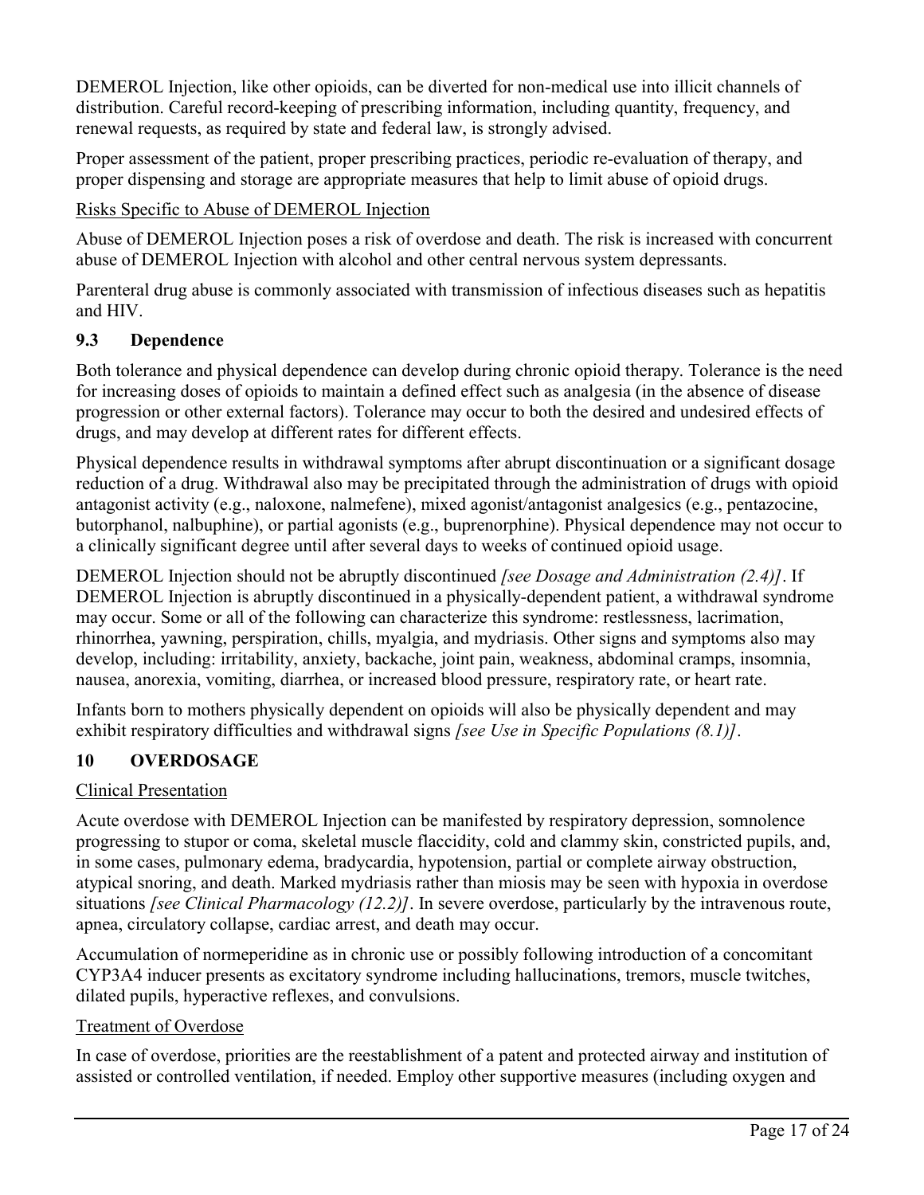DEMEROL Injection, like other opioids, can be diverted for non-medical use into illicit channels of distribution. Careful record-keeping of prescribing information, including quantity, frequency, and renewal requests, as required by state and federal law, is strongly advised.

Proper assessment of the patient, proper prescribing practices, periodic re-evaluation of therapy, and proper dispensing and storage are appropriate measures that help to limit abuse of opioid drugs.

# Risks Specific to Abuse of DEMEROL Injection

Abuse of DEMEROL Injection poses a risk of overdose and death. The risk is increased with concurrent abuse of DEMEROL Injection with alcohol and other central nervous system depressants.

Parenteral drug abuse is commonly associated with transmission of infectious diseases such as hepatitis and HIV.

# **9.3 Dependence**

Both tolerance and physical dependence can develop during chronic opioid therapy. Tolerance is the need for increasing doses of opioids to maintain a defined effect such as analgesia (in the absence of disease progression or other external factors). Tolerance may occur to both the desired and undesired effects of drugs, and may develop at different rates for different effects.

Physical dependence results in withdrawal symptoms after abrupt discontinuation or a significant dosage reduction of a drug. Withdrawal also may be precipitated through the administration of drugs with opioid antagonist activity (e.g., naloxone, nalmefene), mixed agonist/antagonist analgesics (e.g., pentazocine, butorphanol, nalbuphine), or partial agonists (e.g., buprenorphine). Physical dependence may not occur to a clinically significant degree until after several days to weeks of continued opioid usage.

DEMEROL Injection should not be abruptly discontinued *[see Dosage and Administration (2.4)]*. If DEMEROL Injection is abruptly discontinued in a physically-dependent patient, a withdrawal syndrome may occur. Some or all of the following can characterize this syndrome: restlessness, lacrimation, rhinorrhea, yawning, perspiration, chills, myalgia, and mydriasis. Other signs and symptoms also may develop, including: irritability, anxiety, backache, joint pain, weakness, abdominal cramps, insomnia, nausea, anorexia, vomiting, diarrhea, or increased blood pressure, respiratory rate, or heart rate.

Infants born to mothers physically dependent on opioids will also be physically dependent and may exhibit respiratory difficulties and withdrawal signs *[see Use in Specific Populations (8.1)]*.

# **10 OVERDOSAGE**

# Clinical Presentation

Acute overdose with DEMEROL Injection can be manifested by respiratory depression, somnolence progressing to stupor or coma, skeletal muscle flaccidity, cold and clammy skin, constricted pupils, and, in some cases, pulmonary edema, bradycardia, hypotension, partial or complete airway obstruction, atypical snoring, and death. Marked mydriasis rather than miosis may be seen with hypoxia in overdose situations *[see Clinical Pharmacology (12.2)]*. In severe overdose, particularly by the intravenous route, apnea, circulatory collapse, cardiac arrest, and death may occur.

Accumulation of normeperidine as in chronic use or possibly following introduction of a concomitant CYP3A4 inducer presents as excitatory syndrome including hallucinations, tremors, muscle twitches, dilated pupils, hyperactive reflexes, and convulsions.

# Treatment of Overdose

In case of overdose, priorities are the reestablishment of a patent and protected airway and institution of assisted or controlled ventilation, if needed. Employ other supportive measures (including oxygen and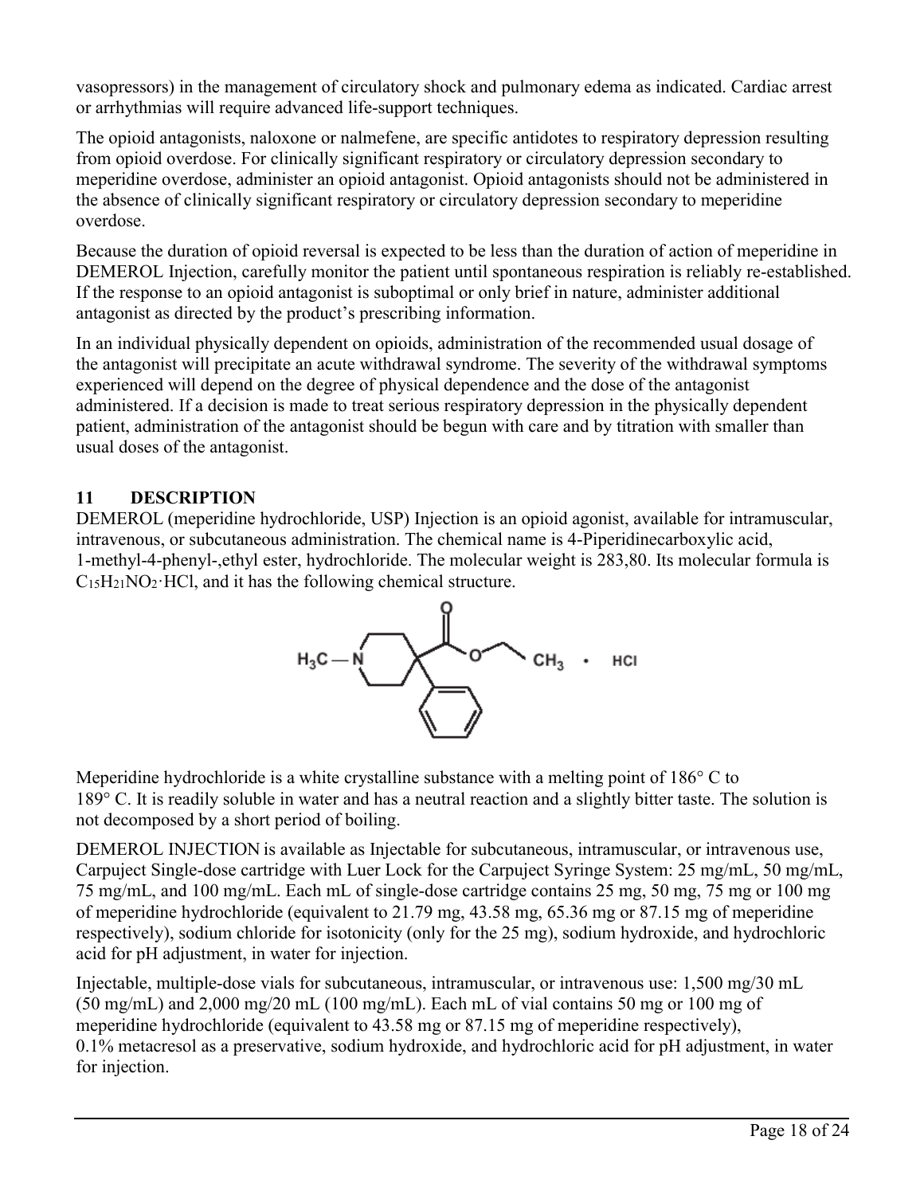vasopressors) in the management of circulatory shock and pulmonary edema as indicated. Cardiac arrest or arrhythmias will require advanced life-support techniques.

The opioid antagonists, naloxone or nalmefene, are specific antidotes to respiratory depression resulting from opioid overdose. For clinically significant respiratory or circulatory depression secondary to meperidine overdose, administer an opioid antagonist. Opioid antagonists should not be administered in the absence of clinically significant respiratory or circulatory depression secondary to meperidine overdose.

Because the duration of opioid reversal is expected to be less than the duration of action of meperidine in DEMEROL Injection, carefully monitor the patient until spontaneous respiration is reliably re-established. If the response to an opioid antagonist is suboptimal or only brief in nature, administer additional antagonist as directed by the product's prescribing information.

In an individual physically dependent on opioids, administration of the recommended usual dosage of the antagonist will precipitate an acute withdrawal syndrome. The severity of the withdrawal symptoms experienced will depend on the degree of physical dependence and the dose of the antagonist administered. If a decision is made to treat serious respiratory depression in the physically dependent patient, administration of the antagonist should be begun with care and by titration with smaller than usual doses of the antagonist.

# **11 DESCRIPTION**

DEMEROL (meperidine hydrochloride, USP) Injection is an opioid agonist, available for intramuscular, intravenous, or subcutaneous administration. The chemical name is 4-Piperidinecarboxylic acid, 1-methyl-4-phenyl-,ethyl ester, hydrochloride. The molecular weight is 283,80. Its molecular formula is  $C_{15}H_{21}NO_2 \cdot HCl$ , and it has the following chemical structure.



Meperidine hydrochloride is a white crystalline substance with a melting point of 186° C to 189° C. It is readily soluble in water and has a neutral reaction and a slightly bitter taste. The solution is not decomposed by a short period of boiling.

DEMEROL INJECTION is available as Injectable for subcutaneous, intramuscular, or intravenous use, Carpuject Single-dose cartridge with Luer Lock for the Carpuject Syringe System: 25 mg/mL, 50 mg/mL, 75 mg/mL, and 100 mg/mL. Each mL of single-dose cartridge contains 25 mg, 50 mg, 75 mg or 100 mg of meperidine hydrochloride (equivalent to 21.79 mg, 43.58 mg, 65.36 mg or 87.15 mg of meperidine respectively), sodium chloride for isotonicity (only for the 25 mg), sodium hydroxide, and hydrochloric acid for pH adjustment, in water for injection.

Injectable, multiple-dose vials for subcutaneous, intramuscular, or intravenous use: 1,500 mg/30 mL (50 mg/mL) and 2,000 mg/20 mL (100 mg/mL). Each mL of vial contains 50 mg or 100 mg of meperidine hydrochloride (equivalent to 43.58 mg or 87.15 mg of meperidine respectively), 0.1% metacresol as a preservative, sodium hydroxide, and hydrochloric acid for pH adjustment, in water for injection.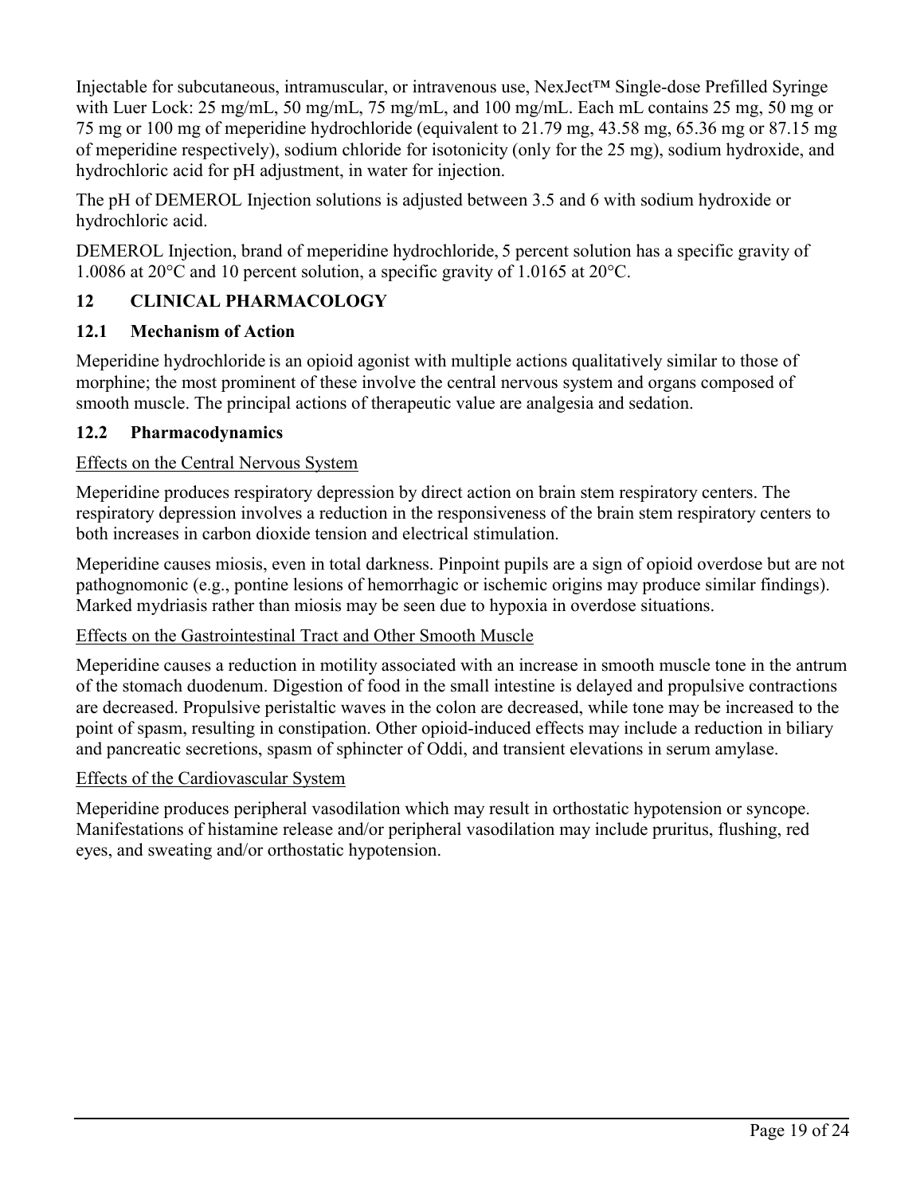Injectable for subcutaneous, intramuscular, or intravenous use, NexJect™ Single-dose Prefilled Syringe with Luer Lock: 25 mg/mL, 50 mg/mL, 75 mg/mL, and 100 mg/mL. Each mL contains 25 mg, 50 mg or 75 mg or 100 mg of meperidine hydrochloride (equivalent to 21.79 mg, 43.58 mg, 65.36 mg or 87.15 mg of meperidine respectively), sodium chloride for isotonicity (only for the 25 mg), sodium hydroxide, and hydrochloric acid for pH adjustment, in water for injection.

The pH of DEMEROL Injection solutions is adjusted between 3.5 and 6 with sodium hydroxide or hydrochloric acid.

DEMEROL Injection, brand of meperidine hydrochloride, 5 percent solution has a specific gravity of 1.0086 at 20°C and 10 percent solution, a specific gravity of 1.0165 at 20°C.

# **12 CLINICAL PHARMACOLOGY**

# **12.1 Mechanism of Action**

Meperidine hydrochloride is an opioid agonist with multiple actions qualitatively similar to those of morphine; the most prominent of these involve the central nervous system and organs composed of smooth muscle. The principal actions of therapeutic value are analgesia and sedation.

# **12.2 Pharmacodynamics**

# Effects on the Central Nervous System

Meperidine produces respiratory depression by direct action on brain stem respiratory centers. The respiratory depression involves a reduction in the responsiveness of the brain stem respiratory centers to both increases in carbon dioxide tension and electrical stimulation.

Meperidine causes miosis, even in total darkness. Pinpoint pupils are a sign of opioid overdose but are not pathognomonic (e.g., pontine lesions of hemorrhagic or ischemic origins may produce similar findings). Marked mydriasis rather than miosis may be seen due to hypoxia in overdose situations.

# Effects on the Gastrointestinal Tract and Other Smooth Muscle

Meperidine causes a reduction in motility associated with an increase in smooth muscle tone in the antrum of the stomach duodenum. Digestion of food in the small intestine is delayed and propulsive contractions are decreased. Propulsive peristaltic waves in the colon are decreased, while tone may be increased to the point of spasm, resulting in constipation. Other opioid-induced effects may include a reduction in biliary and pancreatic secretions, spasm of sphincter of Oddi, and transient elevations in serum amylase.

# Effects of the Cardiovascular System

Meperidine produces peripheral vasodilation which may result in orthostatic hypotension or syncope. Manifestations of histamine release and/or peripheral vasodilation may include pruritus, flushing, red eyes, and sweating and/or orthostatic hypotension.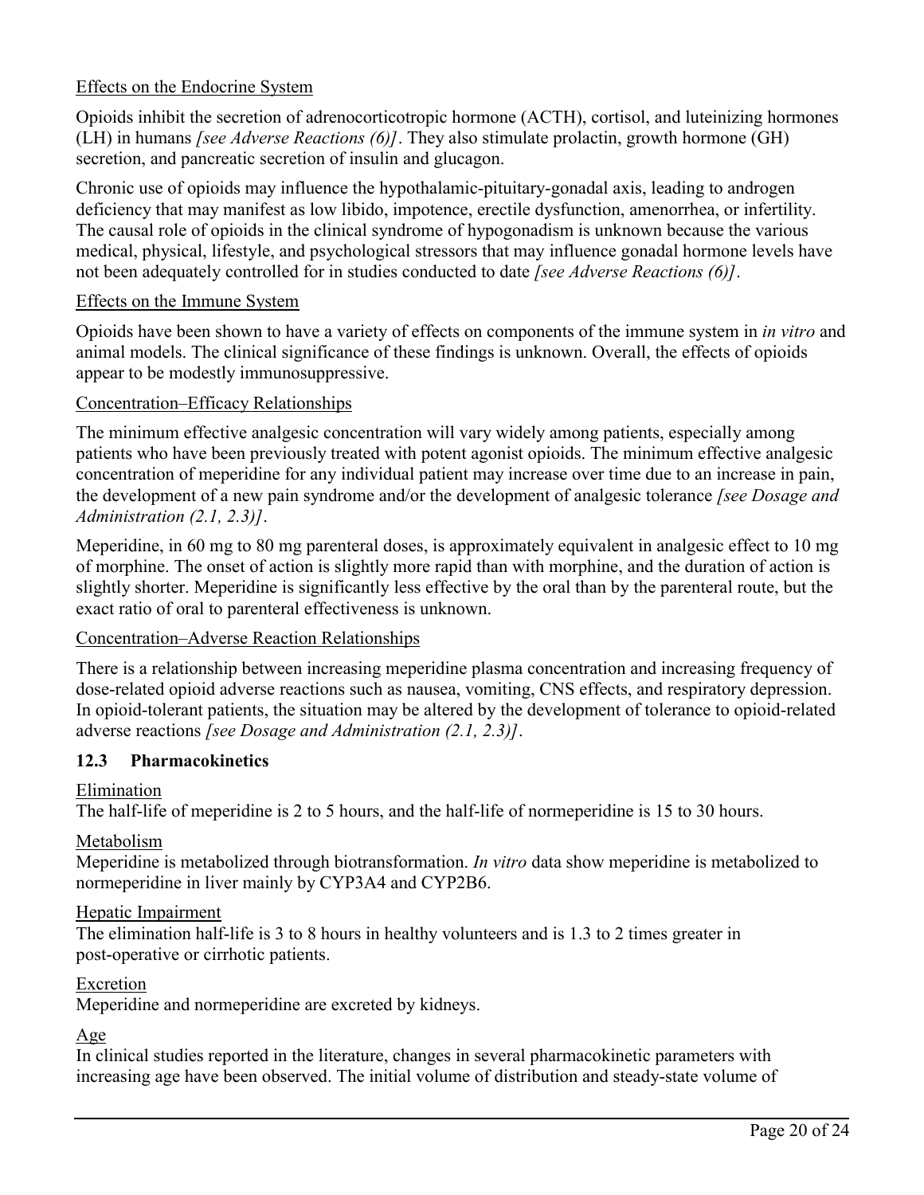### Effects on the Endocrine System

Opioids inhibit the secretion of adrenocorticotropic hormone (ACTH), cortisol, and luteinizing hormones (LH) in humans *[see Adverse Reactions (6)]*. They also stimulate prolactin, growth hormone (GH) secretion, and pancreatic secretion of insulin and glucagon.

Chronic use of opioids may influence the hypothalamic-pituitary-gonadal axis, leading to androgen deficiency that may manifest as low libido, impotence, erectile dysfunction, amenorrhea, or infertility. The causal role of opioids in the clinical syndrome of hypogonadism is unknown because the various medical, physical, lifestyle, and psychological stressors that may influence gonadal hormone levels have not been adequately controlled for in studies conducted to date *[see Adverse Reactions (6)]*.

#### Effects on the Immune System

Opioids have been shown to have a variety of effects on components of the immune system in *in vitro* and animal models. The clinical significance of these findings is unknown. Overall, the effects of opioids appear to be modestly immunosuppressive.

#### Concentration–Efficacy Relationships

The minimum effective analgesic concentration will vary widely among patients, especially among patients who have been previously treated with potent agonist opioids. The minimum effective analgesic concentration of meperidine for any individual patient may increase over time due to an increase in pain, the development of a new pain syndrome and/or the development of analgesic tolerance *[see Dosage and Administration (2.1, 2.3)]*.

Meperidine, in 60 mg to 80 mg parenteral doses, is approximately equivalent in analgesic effect to 10 mg of morphine. The onset of action is slightly more rapid than with morphine, and the duration of action is slightly shorter. Meperidine is significantly less effective by the oral than by the parenteral route, but the exact ratio of oral to parenteral effectiveness is unknown.

### Concentration–Adverse Reaction Relationships

There is a relationship between increasing meperidine plasma concentration and increasing frequency of dose-related opioid adverse reactions such as nausea, vomiting, CNS effects, and respiratory depression. In opioid-tolerant patients, the situation may be altered by the development of tolerance to opioid-related adverse reactions *[see Dosage and Administration (2.1, 2.3)]*.

### **12.3 Pharmacokinetics**

#### Elimination

The half-life of meperidine is 2 to 5 hours, and the half-life of normeperidine is 15 to 30 hours.

### Metabolism

Meperidine is metabolized through biotransformation. *In vitro* data show meperidine is metabolized to normeperidine in liver mainly by CYP3A4 and CYP2B6.

#### Hepatic Impairment

The elimination half-life is 3 to 8 hours in healthy volunteers and is 1.3 to 2 times greater in post-operative or cirrhotic patients.

#### Excretion

Meperidine and normeperidine are excreted by kidneys.

# Age

In clinical studies reported in the literature, changes in several pharmacokinetic parameters with increasing age have been observed. The initial volume of distribution and steady-state volume of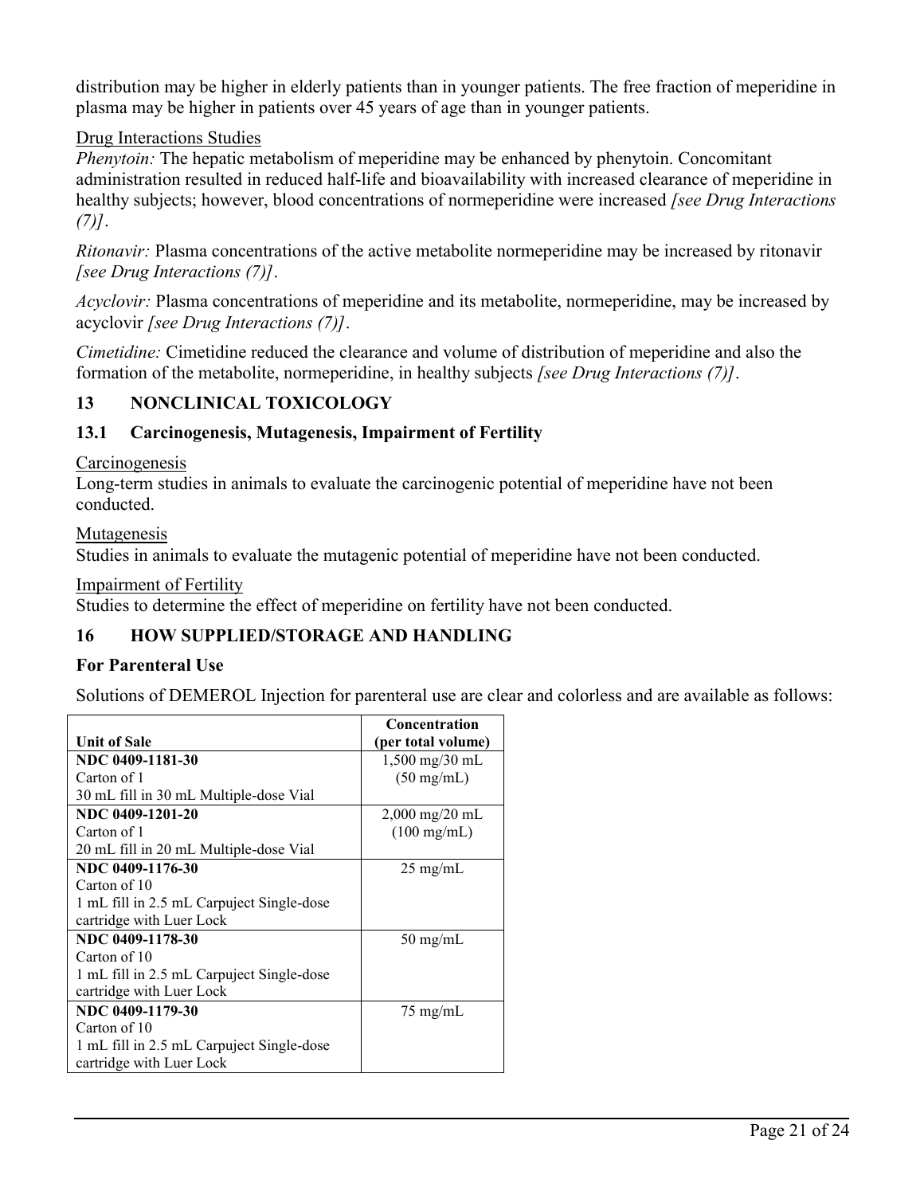distribution may be higher in elderly patients than in younger patients. The free fraction of meperidine in plasma may be higher in patients over 45 years of age than in younger patients.

Drug Interactions Studies

*Phenytoin:* The hepatic metabolism of meperidine may be enhanced by phenytoin. Concomitant administration resulted in reduced half-life and bioavailability with increased clearance of meperidine in healthy subjects; however, blood concentrations of normeperidine were increased *[see Drug Interactions (7)]*.

*Ritonavir:* Plasma concentrations of the active metabolite normeperidine may be increased by ritonavir *[see Drug Interactions (7)]*.

*Acyclovir:* Plasma concentrations of meperidine and its metabolite, normeperidine, may be increased by acyclovir *[see Drug Interactions (7)]*.

*Cimetidine:* Cimetidine reduced the clearance and volume of distribution of meperidine and also the formation of the metabolite, normeperidine, in healthy subjects *[see Drug Interactions (7)]*.

# **13 NONCLINICAL TOXICOLOGY**

### **13.1 Carcinogenesis, Mutagenesis, Impairment of Fertility**

#### **Carcinogenesis**

Long-term studies in animals to evaluate the carcinogenic potential of meperidine have not been conducted.

#### **Mutagenesis**

Studies in animals to evaluate the mutagenic potential of meperidine have not been conducted.

#### Impairment of Fertility

Studies to determine the effect of meperidine on fertility have not been conducted.

# **16 HOW SUPPLIED/STORAGE AND HANDLING**

### **For Parenteral Use**

Solutions of DEMEROL Injection for parenteral use are clear and colorless and are available as follows:

|                                           | <b>Concentration</b>             |
|-------------------------------------------|----------------------------------|
| <b>Unit of Sale</b>                       | (per total volume)               |
| NDC 0409-1181-30                          | $1,500 \text{ mg}/30 \text{ mL}$ |
| Carton of 1                               | $(50 \text{ mg/mL})$             |
| 30 mL fill in 30 mL Multiple-dose Vial    |                                  |
| <b>NDC 0409-1201-20</b>                   | $2,000 \text{ mg}/20 \text{ mL}$ |
| Carton of 1                               | $(100 \text{ mg/mL})$            |
| 20 mL fill in 20 mL Multiple-dose Vial    |                                  |
| NDC 0409-1176-30                          | $25 \text{ mg/mL}$               |
| Carton of 10                              |                                  |
| 1 mL fill in 2.5 mL Carpuject Single-dose |                                  |
| cartridge with Luer Lock                  |                                  |
| NDC 0409-1178-30                          | $50 \text{ mg/mL}$               |
| Carton of 10                              |                                  |
| 1 mL fill in 2.5 mL Carpuject Single-dose |                                  |
| cartridge with Luer Lock                  |                                  |
| NDC 0409-1179-30                          | $75 \text{ mg/mL}$               |
| Carton of 10                              |                                  |
| 1 mL fill in 2.5 mL Carpuject Single-dose |                                  |
| cartridge with Luer Lock                  |                                  |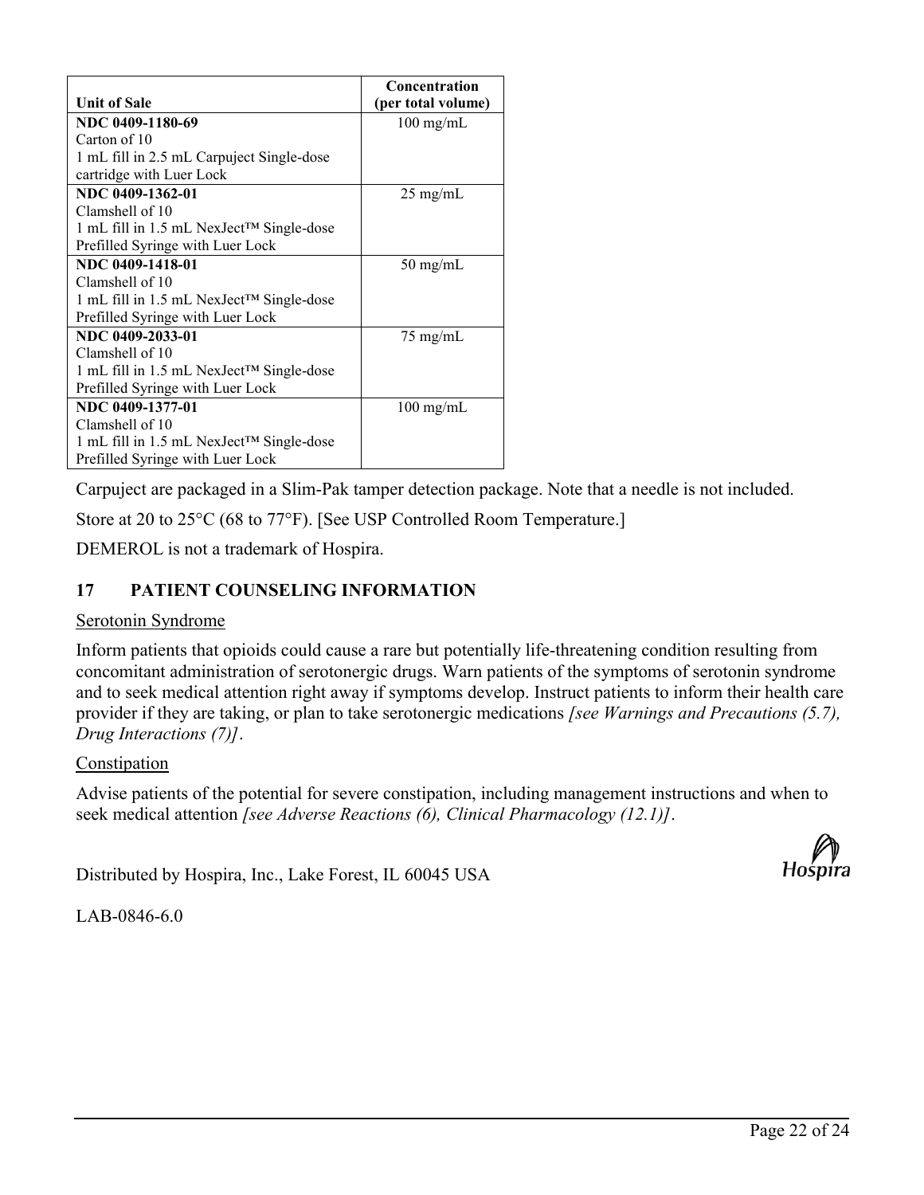|                                                                               | Concentration       |
|-------------------------------------------------------------------------------|---------------------|
| <b>Unit of Sale</b>                                                           | (per total volume)  |
| NDC 0409-1180-69                                                              | $100 \text{ mg/mL}$ |
| Carton of 10                                                                  |                     |
| 1 mL fill in 2.5 mL Carpuject Single-dose                                     |                     |
| cartridge with Luer Lock                                                      |                     |
| NDC 0409-1362-01                                                              | $25 \text{ mg/mL}$  |
| Clamshell of 10                                                               |                     |
| $1 \text{ mL fill in } 1.5 \text{ mL Next}$ NexJect <sup>TM</sup> Single-dose |                     |
| Prefilled Syringe with Luer Lock                                              |                     |
| NDC 0409-1418-01                                                              | $50 \text{ mg/mL}$  |
| Clamshell of 10                                                               |                     |
| $1 \text{ mL fill in } 1.5 \text{ mL Next}$ Nextect <sup>TM</sup> Single-dose |                     |
| Prefilled Syringe with Luer Lock                                              |                     |
| NDC 0409-2033-01                                                              | $75 \text{ mg/mL}$  |
| Clamshell of 10                                                               |                     |
| 1 mL fill in 1.5 mL NexJect™ Single-dose                                      |                     |
| Prefilled Syringe with Luer Lock                                              |                     |
| NDC 0409-1377-01                                                              | $100 \text{ mg/mL}$ |
| Clamshell of 10                                                               |                     |
| 1 mL fill in 1.5 mL NexJect™ Single-dose                                      |                     |
| Prefilled Syringe with Luer Lock                                              |                     |

Carpuject are packaged in a Slim-Pak tamper detection package. Note that a needle is not included.

Store at 20 to 25°C (68 to 77°F). [See USP Controlled Room Temperature.]

DEMEROL is not a trademark of Hospira.

# **17 PATIENT COUNSELING INFORMATION**

#### Serotonin Syndrome

Inform patients that opioids could cause a rare but potentially life-threatening condition resulting from concomitant administration of serotonergic drugs. Warn patients of the symptoms of serotonin syndrome and to seek medical attention right away if symptoms develop. Instruct patients to inform their health care provider if they are taking, or plan to take serotonergic medications *[see Warnings and Precautions (5.7), Drug Interactions (7)]*.

### **Constipation**

Advise patients of the potential for severe constipation, including management instructions and when to seek medical attention *[see Adverse Reactions (6), Clinical Pharmacology (12.1)]*.

Distributed by Hospira, Inc., Lake Forest, IL 60045 USA



LAB-0846-6.0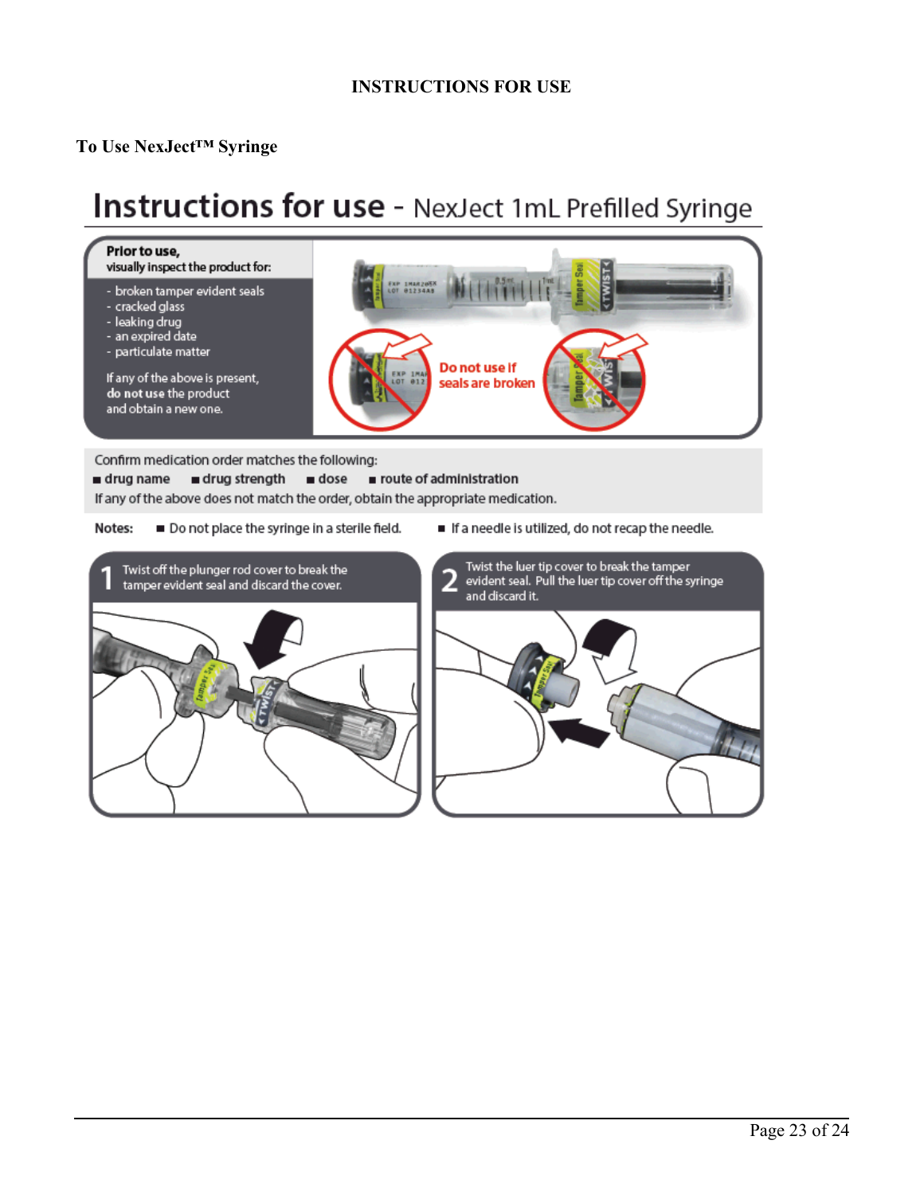#### **INSTRUCTIONS FOR USE**

### **To Use NexJect™ Syringe**

# Instructions for use - NexJect 1mL Prefilled Syringe